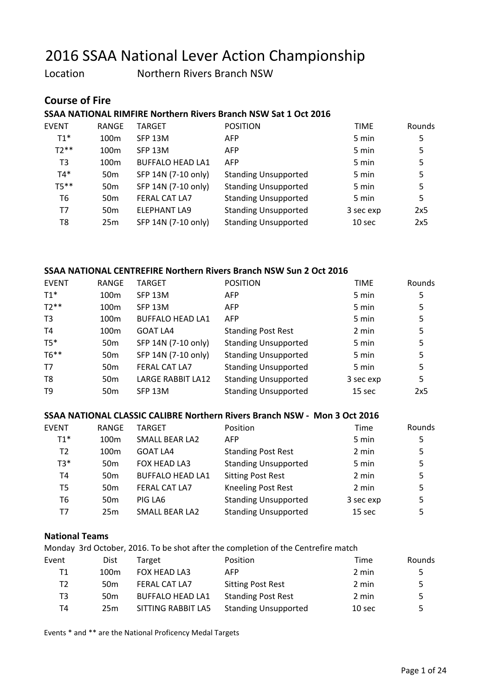Location Northern Rivers Branch NSW

#### Course of Fire

#### SSAA NATIONAL RIMFIRE Northern Rivers Branch NSW Sat 1 Oct 2016

| <b>EVENT</b>   | RANGE            | TARGET                  | <b>POSITION</b>             | <b>TIME</b>       | Rounds |
|----------------|------------------|-------------------------|-----------------------------|-------------------|--------|
| $T1*$          | 100 <sub>m</sub> | SFP 13M                 | <b>AFP</b>                  | 5 min             | 5      |
| $T2**$         | 100 <sub>m</sub> | SFP 13M                 | <b>AFP</b>                  | 5 min             | 5      |
| T <sub>3</sub> | 100 <sub>m</sub> | <b>BUFFALO HEAD LA1</b> | <b>AFP</b>                  | 5 min             | 5      |
| $T4*$          | 50 <sub>m</sub>  | SFP 14N (7-10 only)     | <b>Standing Unsupported</b> | 5 min             | 5      |
| $T5**$         | 50 <sub>m</sub>  | SFP 14N (7-10 only)     | <b>Standing Unsupported</b> | 5 min             | 5      |
| T6             | 50 <sub>m</sub>  | <b>FERAL CAT LA7</b>    | <b>Standing Unsupported</b> | 5 min             | 5      |
| T7             | 50 <sub>m</sub>  | ELEPHANT LA9            | <b>Standing Unsupported</b> | 3 sec exp         | 2x5    |
| T8             | 25m              | SFP 14N (7-10 only)     | <b>Standing Unsupported</b> | 10 <sub>sec</sub> | 2x5    |
|                |                  |                         |                             |                   |        |

#### SSAA NATIONAL CENTREFIRE Northern Rivers Branch NSW Sun 2 Oct 2016

| <b>EVENT</b>   | <b>RANGE</b>     | <b>TARGET</b>           | <b>POSITION</b>             | <b>TIME</b> | <b>Rounds</b> |
|----------------|------------------|-------------------------|-----------------------------|-------------|---------------|
| $T1*$          | 100m             | SFP 13M                 | <b>AFP</b>                  | 5 min       | 5             |
| $T2**$         | 100 <sub>m</sub> | SFP 13M                 | <b>AFP</b>                  | 5 min       | 5             |
| T <sub>3</sub> | 100m             | <b>BUFFALO HEAD LA1</b> | <b>AFP</b>                  | 5 min       | 5             |
| T4             | 100 <sub>m</sub> | GOAT LA4                | <b>Standing Post Rest</b>   | 2 min       | 5             |
| $T5*$          | 50 <sub>m</sub>  | SFP 14N (7-10 only)     | <b>Standing Unsupported</b> | 5 min       | 5             |
| $T6***$        | 50 <sub>m</sub>  | SFP 14N (7-10 only)     | <b>Standing Unsupported</b> | 5 min       | 5             |
| T7             | 50 <sub>m</sub>  | <b>FERAL CAT LA7</b>    | <b>Standing Unsupported</b> | 5 min       | 5             |
| T <sub>8</sub> | 50 <sub>m</sub>  | LARGE RABBIT LA12       | <b>Standing Unsupported</b> | 3 sec exp   | 5             |
| T <sub>9</sub> | 50 <sub>m</sub>  | SFP 13M                 | <b>Standing Unsupported</b> | 15 sec      | 2x5           |

#### SSAA NATIONAL CLASSIC CALIBRE Northern Rivers Branch NSW - Mon 3 Oct 2016

| <b>EVENT</b>   | RANGE            | <b>TARGET</b>           | Position                    | Time              | <b>Rounds</b> |
|----------------|------------------|-------------------------|-----------------------------|-------------------|---------------|
| $T1*$          | 100 <sub>m</sub> | SMALL BEAR LA2          | <b>AFP</b>                  | 5 min             | 5             |
| T <sub>2</sub> | 100 <sub>m</sub> | <b>GOAT LA4</b>         | <b>Standing Post Rest</b>   | 2 min             | 5             |
| $T3*$          | 50 <sub>m</sub>  | FOX HEAD LA3            | <b>Standing Unsupported</b> | 5 min             | 5             |
| T4             | 50 <sub>m</sub>  | <b>BUFFALO HEAD LA1</b> | <b>Sitting Post Rest</b>    | 2 min             | 5             |
| T5             | 50 <sub>m</sub>  | FERAL CAT LA7           | <b>Kneeling Post Rest</b>   | 2 min             | 5             |
| T <sub>6</sub> | 50 <sub>m</sub>  | PIG LA6                 | <b>Standing Unsupported</b> | 3 sec exp         | 5             |
| Т7             | 25m              | SMALL BEAR LA2          | <b>Standing Unsupported</b> | 15 <sub>sec</sub> | 5             |

#### National Teams

Monday 3rd October, 2016. To be shot after the completion of the Centrefire match

| Event | Dist             | Target                  | Position                    | Time              | Rounds |
|-------|------------------|-------------------------|-----------------------------|-------------------|--------|
| Τ1    | 100 <sub>m</sub> | <b>FOX HEAD LA3</b>     | AFP                         | 2 min             | 5.     |
| Т2    | 50 <sub>m</sub>  | <b>FERAL CAT LA7</b>    | <b>Sitting Post Rest</b>    | 2 min             | 5.     |
| T3    | 50 <sub>m</sub>  | <b>BUFFALO HEAD LA1</b> | <b>Standing Post Rest</b>   | 2 min             | 5.     |
| T4    | 25 <sub>m</sub>  | SITTING RABBIT LAS      | <b>Standing Unsupported</b> | 10 <sub>sec</sub> | 5.     |

Events \* and \*\* are the National Proficency Medal Targets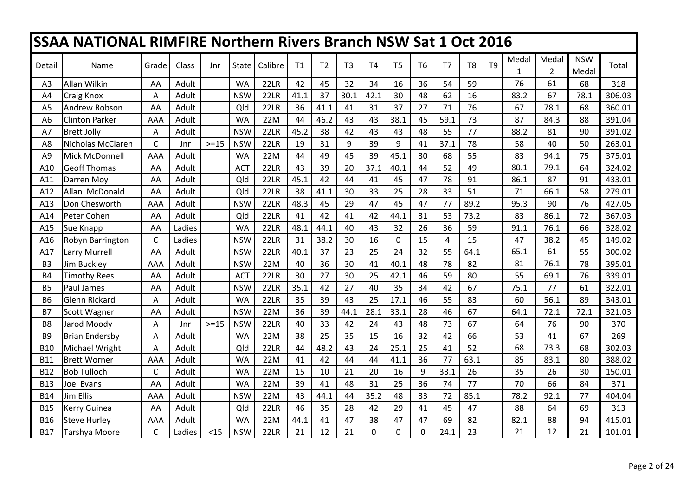| <b>SSAA NATIONAL RIMFIRE Northern Rivers Branch NSW Sat 1 Oct 2016</b> |                       |              |        |        |            |         |      |                |                |                |                |                |                |                |                |            |                       |                     |        |
|------------------------------------------------------------------------|-----------------------|--------------|--------|--------|------------|---------|------|----------------|----------------|----------------|----------------|----------------|----------------|----------------|----------------|------------|-----------------------|---------------------|--------|
| Detail                                                                 | Name                  | Grade        | Class  | Jnr    | State      | Calibre | T1   | T <sub>2</sub> | T <sub>3</sub> | <b>T4</b>      | T <sub>5</sub> | T <sub>6</sub> | T7             | T <sub>8</sub> | T <sub>9</sub> | Medal<br>1 | Medal<br>$\mathbf{2}$ | <b>NSW</b><br>Medal | Total  |
| A <sub>3</sub>                                                         | Allan Wilkin          | AA           | Adult  |        | <b>WA</b>  | 22LR    | 42   | 45             | 32             | 34             | 16             | 36             | 54             | 59             |                | 76         | 61                    | 68                  | 318    |
| A4                                                                     | Craig Knox            | Α            | Adult  |        | <b>NSW</b> | 22LR    | 41.1 | 37             | 30.1           | 42.1           | 30             | 48             | 62             | 16             |                | 83.2       | 67                    | 78.1                | 306.03 |
| A <sub>5</sub>                                                         | Andrew Robson         | AA           | Adult  |        | Qld        | 22LR    | 36   | 41.1           | 41             | 31             | 37             | 27             | 71             | 76             |                | 67         | 78.1                  | 68                  | 360.01 |
| A <sub>6</sub>                                                         | <b>Clinton Parker</b> | AAA          | Adult  |        | <b>WA</b>  | 22M     | 44   | 46.2           | 43             | 43             | 38.1           | 45             | 59.1           | 73             |                | 87         | 84.3                  | 88                  | 391.04 |
| A7                                                                     | <b>Brett Jolly</b>    | Α            | Adult  |        | <b>NSW</b> | 22LR    | 45.2 | 38             | 42             | 43             | 43             | 48             | 55             | 77             |                | 88.2       | 81                    | 90                  | 391.02 |
| A8                                                                     | Nicholas McClaren     | $\mathsf{C}$ | Jnr    | $>=15$ | <b>NSW</b> | 22LR    | 19   | 31             | 9              | 39             | 9              | 41             | 37.1           | 78             |                | 58         | 40                    | 50                  | 263.01 |
| A <sub>9</sub>                                                         | Mick McDonnell        | AAA          | Adult  |        | <b>WA</b>  | 22M     | 44   | 49             | 45             | 39             | 45.1           | 30             | 68             | 55             |                | 83         | 94.1                  | 75                  | 375.01 |
| A10                                                                    | <b>Geoff Thomas</b>   | AA           | Adult  |        | <b>ACT</b> | 22LR    | 43   | 39             | 20             | 37.1           | 40.1           | 44             | 52             | 49             |                | 80.1       | 79.1                  | 64                  | 324.02 |
| A11                                                                    | Darren Moy            | AA           | Adult  |        | Qld        | 22LR    | 45.1 | 42             | 44             | 41             | 45             | 47             | 78             | 91             |                | 86.1       | 87                    | 91                  | 433.01 |
| A12                                                                    | Allan McDonald        | AA           | Adult  |        | Qld        | 22LR    | 38   | 41.1           | 30             | 33             | 25             | 28             | 33             | 51             |                | 71         | 66.1                  | 58                  | 279.01 |
| A13                                                                    | Don Chesworth         | AAA          | Adult  |        | <b>NSW</b> | 22LR    | 48.3 | 45             | 29             | 47             | 45             | 47             | 77             | 89.2           |                | 95.3       | 90                    | 76                  | 427.05 |
| A14                                                                    | Peter Cohen           | AA           | Adult  |        | Qld        | 22LR    | 41   | 42             | 41             | 42             | 44.1           | 31             | 53             | 73.2           |                | 83         | 86.1                  | 72                  | 367.03 |
| A15                                                                    | Sue Knapp             | AA           | Ladies |        | <b>WA</b>  | 22LR    | 48.1 | 44.1           | 40             | 43             | 32             | 26             | 36             | 59             |                | 91.1       | 76.1                  | 66                  | 328.02 |
| A16                                                                    | Robyn Barrington      | $\mathsf{C}$ | Ladies |        | <b>NSW</b> | 22LR    | 31   | 38.2           | 30             | 16             | $\mathbf 0$    | 15             | $\overline{4}$ | 15             |                | 47         | 38.2                  | 45                  | 149.02 |
| A17                                                                    | Larry Murrell         | AA           | Adult  |        | <b>NSW</b> | 22LR    | 40.1 | 37             | 23             | 25             | 24             | 32             | 55             | 64.1           |                | 65.1       | 61                    | 55                  | 300.02 |
| B <sub>3</sub>                                                         | Jim Buckley           | AAA          | Adult  |        | <b>NSW</b> | 22M     | 40   | 36             | 30             | 41             | 40.1           | 48             | 78             | 82             |                | 81         | 76.1                  | 78                  | 395.01 |
| <b>B4</b>                                                              | <b>Timothy Rees</b>   | AA           | Adult  |        | <b>ACT</b> | 22LR    | 30   | 27             | 30             | 25             | 42.1           | 46             | 59             | 80             |                | 55         | 69.1                  | 76                  | 339.01 |
| <b>B5</b>                                                              | Paul James            | AA           | Adult  |        | <b>NSW</b> | 22LR    | 35.1 | 42             | 27             | 40             | 35             | 34             | 42             | 67             |                | 75.1       | 77                    | 61                  | 322.01 |
| <b>B6</b>                                                              | <b>Glenn Rickard</b>  | A            | Adult  |        | <b>WA</b>  | 22LR    | 35   | 39             | 43             | 25             | 17.1           | 46             | 55             | 83             |                | 60         | 56.1                  | 89                  | 343.01 |
| <b>B7</b>                                                              | Scott Wagner          | AA           | Adult  |        | <b>NSW</b> | 22M     | 36   | 39             | 44.1           | 28.1           | 33.1           | 28             | 46             | 67             |                | 64.1       | 72.1                  | 72.1                | 321.03 |
| B <sub>8</sub>                                                         | Jarod Moody           | Α            | Jnr    | $>=15$ | <b>NSW</b> | 22LR    | 40   | 33             | 42             | 24             | 43             | 48             | 73             | 67             |                | 64         | 76                    | 90                  | 370    |
| B <sub>9</sub>                                                         | <b>Brian Endersby</b> | Α            | Adult  |        | <b>WA</b>  | 22M     | 38   | 25             | 35             | 15             | 16             | 32             | 42             | 66             |                | 53         | 41                    | 67                  | 269    |
| <b>B10</b>                                                             | Michael Wright        | Α            | Adult  |        | Qld        | 22LR    | 44   | 48.2           | 43             | 24             | 25.1           | 25             | 41             | 52             |                | 68         | 73.3                  | 68                  | 302.03 |
| <b>B11</b>                                                             | <b>Brett Worner</b>   | AAA          | Adult  |        | <b>WA</b>  | 22M     | 41   | 42             | 44             | 44             | 41.1           | 36             | 77             | 63.1           |                | 85         | 83.1                  | 80                  | 388.02 |
| <b>B12</b>                                                             | <b>Bob Tulloch</b>    | C            | Adult  |        | <b>WA</b>  | 22M     | 15   | 10             | 21             | 20             | 16             | 9              | 33.1           | 26             |                | 35         | 26                    | 30                  | 150.01 |
| <b>B13</b>                                                             | Joel Evans            | AA           | Adult  |        | <b>WA</b>  | 22M     | 39   | 41             | 48             | 31             | 25             | 36             | 74             | 77             |                | 70         | 66                    | 84                  | 371    |
| <b>B14</b>                                                             | Jim Ellis             | <b>AAA</b>   | Adult  |        | <b>NSW</b> | 22M     | 43   | 44.1           | 44             | 35.2           | 48             | 33             | 72             | 85.1           |                | 78.2       | 92.1                  | 77                  | 404.04 |
| <b>B15</b>                                                             | Kerry Guinea          | AA           | Adult  |        | Qld        | 22LR    | 46   | 35             | 28             | 42             | 29             | 41             | 45             | 47             |                | 88         | 64                    | 69                  | 313    |
| <b>B16</b>                                                             | <b>Steve Hurley</b>   | AAA          | Adult  |        | <b>WA</b>  | 22M     | 44.1 | 41             | 47             | 38             | 47             | 47             | 69             | 82             |                | 82.1       | 88                    | 94                  | 415.01 |
| <b>B17</b>                                                             | Tarshya Moore         | C            | Ladies | $<$ 15 | <b>NSW</b> | 22LR    | 21   | 12             | 21             | $\overline{0}$ | 0              | 0              | 24.1           | 23             |                | 21         | 12                    | 21                  | 101.01 |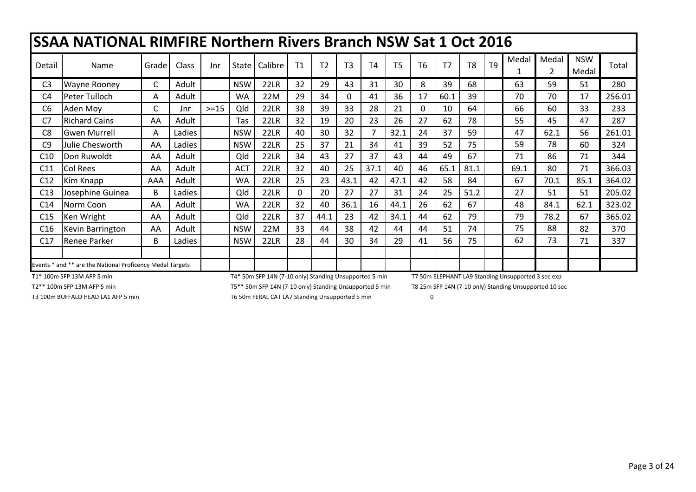|  | <b>SSAA NATIONAL RIMFIRE Northern Rivers Branch NSW Sat 1 Oct 2016</b> |
|--|------------------------------------------------------------------------|
|--|------------------------------------------------------------------------|

| Detail          | Name                                                      | Grade | Class  | Jnr    | State      | Calibre | T1       | T <sub>2</sub> | T <sub>3</sub> | <b>T4</b> | T <sub>5</sub> | T <sub>6</sub> | T <sub>7</sub> | T <sub>8</sub> | T <sub>9</sub> | Medal | Medal<br>$\overline{2}$ | <b>NSW</b><br>Medal | Total  |
|-----------------|-----------------------------------------------------------|-------|--------|--------|------------|---------|----------|----------------|----------------|-----------|----------------|----------------|----------------|----------------|----------------|-------|-------------------------|---------------------|--------|
| C <sub>3</sub>  | <b>Wayne Rooney</b>                                       | С     | Adult  |        | <b>NSW</b> | 22LR    | 32       | 29             | 43             | 31        | 30             | 8              | 39             | 68             |                | 63    | 59                      | 51                  | 280    |
| C4              | Peter Tulloch                                             | A     | Adult  |        | WA         | 22M     | 29       | 34             | $\Omega$       | 41        | 36             | 17             | 60.1           | 39             |                | 70    | 70                      | 17                  | 256.01 |
| C6              | Aden Moy                                                  | C     | Jnr    | $>=15$ | Qld        | 22LR    | 38       | 39             | 33             | 28        | 21             | 0              | 10             | 64             |                | 66    | 60                      | 33                  | 233    |
| C <sub>7</sub>  | <b>Richard Cains</b>                                      | AA    | Adult  |        | Tas        | 22LR    | 32       | 19             | 20             | 23        | 26             | 27             | 62             | 78             |                | 55    | 45                      | 47                  | 287    |
| C <sub>8</sub>  | <b>Gwen Murrell</b>                                       | A     | Ladies |        | <b>NSW</b> | 22LR    | 40       | 30             | 32             | 7         | 32.1           | 24             | 37             | 59             |                | 47    | 62.1                    | 56                  | 261.01 |
| C <sub>9</sub>  | Julie Chesworth                                           | AA    | Ladies |        | <b>NSW</b> | 22LR    | 25       | 37             | 21             | 34        | 41             | 39             | 52             | 75             |                | 59    | 78                      | 60                  | 324    |
| C10             | Don Ruwoldt                                               | AA    | Adult  |        | Qld        | 22LR    | 34       | 43             | 27             | 37        | 43             | 44             | 49             | 67             |                | 71    | 86                      | 71                  | 344    |
| C11             | Col Rees                                                  | AA    | Adult  |        | <b>ACT</b> | 22LR    | 32       | 40             | 25             | 37.1      | 40             | 46             | 65.1           | 81.1           |                | 69.1  | 80                      | 71                  | 366.03 |
| C12             | Kim Knapp                                                 | AAA   | Adult  |        | <b>WA</b>  | 22LR    | 25       | 23             | 43.1           | 42        | 47.1           | 42             | 58             | 84             |                | 67    | 70.1                    | 85.1                | 364.02 |
| C13             | Josephine Guinea                                          | B     | Ladies |        | Qld        | 22LR    | $\Omega$ | 20             | 27             | 27        | 31             | 24             | 25             | 51.2           |                | 27    | 51                      | 51                  | 205.02 |
| C <sub>14</sub> | Norm Coon                                                 | AA    | Adult  |        | WA         | 22LR    | 32       | 40             | 36.1           | 16        | 44.1           | 26             | 62             | 67             |                | 48    | 84.1                    | 62.1                | 323.02 |
| C15             | Ken Wright                                                | AA    | Adult  |        | Qld        | 22LR    | 37       | 44.1           | 23             | 42        | 34.1           | 44             | 62             | 79             |                | 79    | 78.2                    | 67                  | 365.02 |
| C16             | Kevin Barrington                                          | AA    | Adult  |        | <b>NSW</b> | 22M     | 33       | 44             | 38             | 42        | 44             | 44             | 51             | 74             |                | 75    | 88                      | 82                  | 370    |
| C17             | <b>Renee Parker</b>                                       | B     | Ladies |        | <b>NSW</b> | 22LR    | 28       | 44             | 30             | 34        | 29             | 41             | 56             | 75             |                | 62    | 73                      | 71                  | 337    |
|                 |                                                           |       |        |        |            |         |          |                |                |           |                |                |                |                |                |       |                         |                     |        |
|                 | Events * and ** are the National Proficency Medal Targets |       |        |        |            |         |          |                |                |           |                |                |                |                |                |       |                         |                     |        |

T1\* 100m SFP 13M AFP 5 min

T4\* 50m SFP 14N (7-10 only) Standing Unsupported 5 min T7 50m ELEPHANT LA9 Standing Unsupported 3 sec exp<br>T5\*\* 50m SFP 14N (7-10 only) Standing Unsupported 5 min T8 25m SFP 14N (7-10 only) Standing Unsupported 10 sec

T2\*\* 100m SFP 13M AFP 5 min

T5\*\* 50m SFP 14N (7-10 only) Standing Unsupported 5 min

T3 100m BUFFALO HEAD LA1 AFP 5 min T6 T6 50m FERAL CAT LA7 Standing Unsupported 5 min 0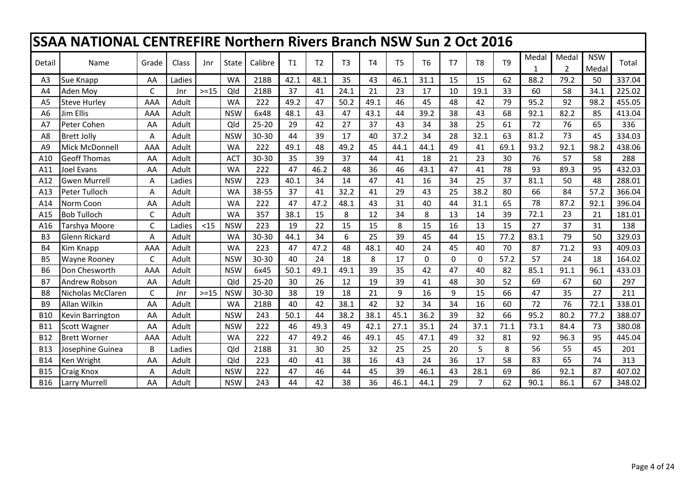|                | <b>SSAA NATIONAL CENTREFIRE Northern Rivers Branch NSW Sun 2 Oct 2016</b> |              |        |        |            |           |      |                |                |                |                |                |                |                |                |       |                         |                     |        |
|----------------|---------------------------------------------------------------------------|--------------|--------|--------|------------|-----------|------|----------------|----------------|----------------|----------------|----------------|----------------|----------------|----------------|-------|-------------------------|---------------------|--------|
| Detail         | Name                                                                      | Grade        | Class  | Jnr    | State      | Calibre   | T1   | T <sub>2</sub> | T <sub>3</sub> | T <sub>4</sub> | T <sub>5</sub> | T <sub>6</sub> | T <sub>7</sub> | T <sub>8</sub> | T <sub>9</sub> | Medal | Medal<br>$\overline{2}$ | <b>NSW</b><br>Medal | Total  |
| A3             | Sue Knapp                                                                 | AA           | Ladies |        | <b>WA</b>  | 218B      | 42.1 | 48.1           | 35             | 43             | 46.1           | 31.1           | 15             | 15             | 62             | 88.2  | 79.2                    | 50                  | 337.04 |
| A4             | <b>Aden Mov</b>                                                           | C            | Jnr    | $>=15$ | Qld        | 218B      | 37   | 41             | 24.1           | 21             | 23             | 17             | 10             | 19.1           | 33             | 60    | 58                      | 34.1                | 225.02 |
| A <sub>5</sub> | <b>Steve Hurley</b>                                                       | AAA          | Adult  |        | <b>WA</b>  | 222       | 49.2 | 47             | 50.2           | 49.1           | 46             | 45             | 48             | 42             | 79             | 95.2  | 92                      | 98.2                | 455.05 |
| A6             | Jim Ellis                                                                 | AAA          | Adult  |        | <b>NSW</b> | 6x48      | 48.1 | 43             | 47             | 43.1           | 44             | 39.2           | 38             | 43             | 68             | 92.1  | 82.2                    | 85                  | 413.04 |
| A7             | Peter Cohen                                                               | AA           | Adult  |        | Qld        | $25 - 20$ | 29   | 42             | 27             | 37             | 43             | 34             | 38             | 25             | 61             | 72    | 76                      | 65                  | 336    |
| A8             | <b>Brett Jolly</b>                                                        | A            | Adult  |        | <b>NSW</b> | 30-30     | 44   | 39             | 17             | 40             | 37.2           | 34             | 28             | 32.1           | 63             | 81.2  | 73                      | 45                  | 334.03 |
| A <sub>9</sub> | Mick McDonnell                                                            | AAA          | Adult  |        | <b>WA</b>  | 222       | 49.1 | 48             | 49.2           | 45             | 44.1           | 44.1           | 49             | 41             | 69.1           | 93.2  | 92.1                    | 98.2                | 438.06 |
| A10            | <b>Geoff Thomas</b>                                                       | AA           | Adult  |        | <b>ACT</b> | 30-30     | 35   | 39             | 37             | 44             | 41             | 18             | 21             | 23             | 30             | 76    | 57                      | 58                  | 288    |
| A11            | Joel Evans                                                                | AA           | Adult  |        | <b>WA</b>  | 222       | 47   | 46.2           | 48             | 36             | 46             | 43.1           | 47             | 41             | 78             | 93    | 89.3                    | 95                  | 432.03 |
| A12            | <b>Gwen Murrell</b>                                                       | A            | Ladies |        | <b>NSW</b> | 223       | 40.1 | 34             | 14             | 47             | 41             | 16             | 34             | 25             | 37             | 81.1  | 50                      | 48                  | 288.01 |
| A13            | Peter Tulloch                                                             | A            | Adult  |        | <b>WA</b>  | 38-55     | 37   | 41             | 32.2           | 41             | 29             | 43             | 25             | 38.2           | 80             | 66    | 84                      | 57.2                | 366.04 |
| A14            | Norm Coon                                                                 | AA           | Adult  |        | <b>WA</b>  | 222       | 47   | 47.2           | 48.1           | 43             | 31             | 40             | 44             | 31.1           | 65             | 78    | 87.2                    | 92.1                | 396.04 |
| A15            | <b>Bob Tulloch</b>                                                        | C            | Adult  |        | <b>WA</b>  | 357       | 38.1 | 15             | 8              | 12             | 34             | 8              | 13             | 14             | 39             | 72.1  | 23                      | 21                  | 181.01 |
| A16            | Tarshya Moore                                                             | $\mathsf{C}$ | Ladies | $15$   | <b>NSW</b> | 223       | 19   | 22             | 15             | 15             | 8              | 15             | 16             | 13             | 15             | 27    | 37                      | 31                  | 138    |
| B <sub>3</sub> | <b>Glenn Rickard</b>                                                      | A            | Adult  |        | <b>WA</b>  | 30-30     | 44.1 | 34             | 6              | 25             | 39             | 45             | 44             | 15             | 77.2           | 83.1  | 79                      | 50                  | 329.03 |
| <b>B4</b>      | Kim Knapp                                                                 | AAA          | Adult  |        | <b>WA</b>  | 223       | 47   | 47.2           | 48             | 48.1           | 40             | 24             | 45             | 40             | 70             | 87    | 71.2                    | 93                  | 409.03 |
| <b>B5</b>      | <b>Wayne Rooney</b>                                                       | C            | Adult  |        | <b>NSW</b> | 30-30     | 40   | 24             | 18             | 8              | 17             | $\mathbf 0$    | $\Omega$       | $\Omega$       | 57.2           | 57    | 24                      | 18                  | 164.02 |
| <b>B6</b>      | Don Chesworth                                                             | AAA          | Adult  |        | <b>NSW</b> | 6x45      | 50.1 | 49.1           | 49.1           | 39             | 35             | 42             | 47             | 40             | 82             | 85.1  | 91.1                    | 96.1                | 433.03 |
| <b>B7</b>      | <b>Andrew Robson</b>                                                      | AA           | Adult  |        | Qld        | $25 - 20$ | 30   | 26             | 12             | 19             | 39             | 41             | 48             | 30             | 52             | 69    | 67                      | 60                  | 297    |
| B <sub>8</sub> | Nicholas McClaren                                                         | C            | Jnr    | $>=15$ | <b>NSW</b> | 30-30     | 38   | 19             | 18             | 21             | 9              | 16             | 9              | 15             | 66             | 47    | 35                      | 27                  | 211    |
| B <sub>9</sub> | Allan Wilkin                                                              | AA           | Adult  |        | <b>WA</b>  | 218B      | 40   | 42             | 38.1           | 42             | 32             | 34             | 34             | 16             | 60             | 72    | 76                      | 72.1                | 338.01 |
| <b>B10</b>     | <b>Kevin Barrington</b>                                                   | AA           | Adult  |        | <b>NSW</b> | 243       | 50.1 | 44             | 38.2           | 38.1           | 45.1           | 36.2           | 39             | 32             | 66             | 95.2  | 80.2                    | 77.2                | 388.07 |
| <b>B11</b>     | Scott Wagner                                                              | AA           | Adult  |        | <b>NSW</b> | 222       | 46   | 49.3           | 49             | 42.1           | 27.1           | 35.1           | 24             | 37.1           | 71.1           | 73.1  | 84.4                    | 73                  | 380.08 |
| <b>B12</b>     | <b>Brett Worner</b>                                                       | AAA          | Adult  |        | <b>WA</b>  | 222       | 47   | 49.2           | 46             | 49.1           | 45             | 47.1           | 49             | 32             | 81             | 92    | 96.3                    | 95                  | 445.04 |
| <b>B13</b>     | Josephine Guinea                                                          | B            | Ladies |        | Qld        | 218B      | 31   | 30             | 25             | 32             | 25             | 25             | 20             | 5              | 8              | 56    | 55                      | 45                  | 201    |
| <b>B14</b>     | Ken Wright                                                                | AA           | Adult  |        | Qld        | 223       | 40   | 41             | 38             | 16             | 43             | 24             | 36             | 17             | 58             | 83    | 65                      | 74                  | 313    |
| <b>B15</b>     | <b>Craig Knox</b>                                                         | A            | Adult  |        | <b>NSW</b> | 222       | 47   | 46             | 44             | 45             | 39             | 46.1           | 43             | 28.1           | 69             | 86    | 92.1                    | 87                  | 407.02 |
| <b>B16</b>     | Larry Murrell                                                             | AA           | Adult  |        | <b>NSW</b> | 243       | 44   | 42             | 38             | 36             | 46.1           | 44.1           | 29             | 7              | 62             | 90.1  | 86.1                    | 67                  | 348.02 |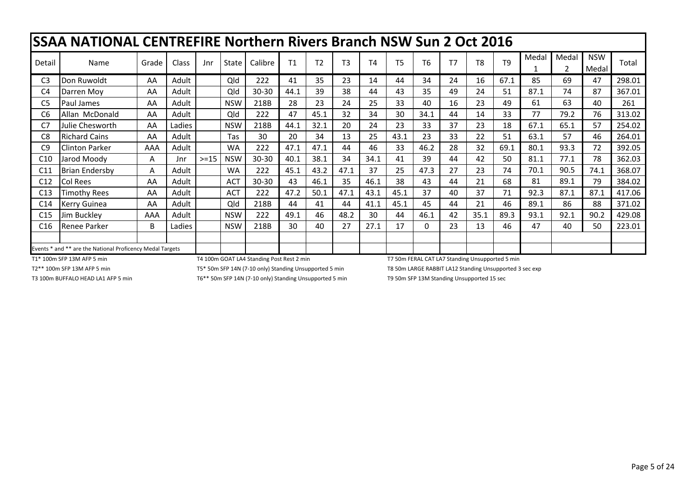|                 | SSAA NATIONAL CENTREFIRE Northern Rivers Branch NSW Sun 2 Oct 2016 |       |              |        |              |         |                |                |                |                |                |                |    |                |                |       |                         |                     |        |
|-----------------|--------------------------------------------------------------------|-------|--------------|--------|--------------|---------|----------------|----------------|----------------|----------------|----------------|----------------|----|----------------|----------------|-------|-------------------------|---------------------|--------|
| Detail          | Name                                                               | Grade | <b>Class</b> | Jnr    | <b>State</b> | Calibre | T <sub>1</sub> | T <sub>2</sub> | T <sub>3</sub> | T <sub>4</sub> | T <sub>5</sub> | T <sub>6</sub> | T7 | T <sub>8</sub> | T <sub>9</sub> | Medal | Medal<br>$\overline{2}$ | <b>NSW</b><br>Medal | Total  |
| C <sub>3</sub>  | Don Ruwoldt                                                        | AA    | Adult        |        | Qld          | 222     | 41             | 35             | 23             | 14             | 44             | 34             | 24 | 16             | 67.1           | 85    | 69                      | 47                  | 298.01 |
| C4              | Darren Moy                                                         | AA    | Adult        |        | Qld          | 30-30   | 44.1           | 39             | 38             | 44             | 43             | 35             | 49 | 24             | 51             | 87.1  | 74                      | 87                  | 367.01 |
| C <sub>5</sub>  | <b>Paul James</b>                                                  | AA    | Adult        |        | <b>NSW</b>   | 218B    | 28             | 23             | 24             | 25             | 33             | 40             | 16 | 23             | 49             | 61    | 63                      | 40                  | 261    |
| C <sub>6</sub>  | Allan McDonald                                                     | AA    | Adult        |        | Qld          | 222     | 47             | 45.1           | 32             | 34             | 30             | 34.1           | 44 | 14             | 33             | 77    | 79.2                    | 76                  | 313.02 |
| C7              | Julie Chesworth                                                    | AA    | Ladies       |        | <b>NSW</b>   | 218B    | 44.1           | 32.1           | 20             | 24             | 23             | 33             | 37 | 23             | 18             | 67.1  | 65.1                    | 57                  | 254.02 |
| C <sub>8</sub>  | <b>Richard Cains</b>                                               | AA    | Adult        |        | Tas          | 30      | 20             | 34             | 13             | 25             | 43.1           | 23             | 33 | 22             | 51             | 63.1  | 57                      | 46                  | 264.01 |
| C <sub>9</sub>  | <b>Clinton Parker</b>                                              | AAA   | Adult        |        | <b>WA</b>    | 222     | 47.1           | 47.1           | 44             | 46             | 33             | 46.2           | 28 | 32             | 69.1           | 80.1  | 93.3                    | 72                  | 392.05 |
| C <sub>10</sub> | Jarod Moody                                                        | A     | Jnr          | $>=15$ | <b>NSW</b>   | 30-30   | 40.1           | 38.1           | 34             | 34.1           | 41             | 39             | 44 | 42             | 50             | 81.1  | 77.1                    | 78                  | 362.03 |
| C11             | <b>Brian Endersby</b>                                              | A     | Adult        |        | <b>WA</b>    | 222     | 45.1           | 43.2           | 47.1           | 37             | 25             | 47.3           | 27 | 23             | 74             | 70.1  | 90.5                    | 74.1                | 368.07 |
| C12             | <b>Col Rees</b>                                                    | AA    | Adult        |        | <b>ACT</b>   | 30-30   | 43             | 46.1           | 35             | 46.1           | 38             | 43             | 44 | 21             | 68             | 81    | 89.1                    | 79                  | 384.02 |
| C13             | Timothy Rees                                                       | AA    | Adult        |        | <b>ACT</b>   | 222     | 47.2           | 50.1           | 47.1           | 43.1           | 45.1           | 37             | 40 | 37             | 71             | 92.3  | 87.1                    | 87.1                | 417.06 |
| C14             | <b>Kerry Guinea</b>                                                | AA    | Adult        |        | Qld          | 218B    | 44             | 41             | 44             | 41.1           | 45.1           | 45             | 44 | 21             | 46             | 89.1  | 86                      | 88                  | 371.02 |
| C15             | Jim Buckley                                                        | AAA   | Adult        |        | <b>NSW</b>   | 222     | 49.1           | 46             | 48.2           | 30             | 44             | 46.1           | 42 | 35.1           | 89.3           | 93.1  | 92.1                    | 90.2                | 429.08 |
| C16             | <b>Renee Parker</b>                                                | B     | Ladies       |        | <b>NSW</b>   | 218B    | 30             | 40             | 27             | 27.1           | 17             | 0              | 23 | 13             | 46             | 47    | 40                      | 50                  | 223.01 |
|                 |                                                                    |       |              |        |              |         |                |                |                |                |                |                |    |                |                |       |                         |                     |        |
|                 | Events * and ** are the National Proficency Medal Targets          |       |              |        |              |         |                |                |                |                |                |                |    |                |                |       |                         |                     |        |

T1\* 100m SFP 13M AFP 5 min T4 100m STP 350m SFP 14 100m GOAT LA4 Standing Post Rest 2 min T1 50m FERAL CAT LA7 Standing Unsupported 5 min T1 \* 100m SFP 13M AFP 5 min T2\*\* 100m SFP 13M AFP 5 min T3\* 50m LARGE RABBIT LA12 St T2\*\* 100m SFP 13M AFP 5 min **TEX** SOM SFP 14N (7-10 only) Standing Unsupported 5 min T8 50m LARGE RABBIT LA12 Standing Unsupported 3 sec exp

T3 100m BUFFALO HEAD LA1 AFP 5 min T6\*\* 50m SFP 14N (7-10 only) Standing Unsupported 5 min T9 50m SFP 13M Standing Unsupported 15 sec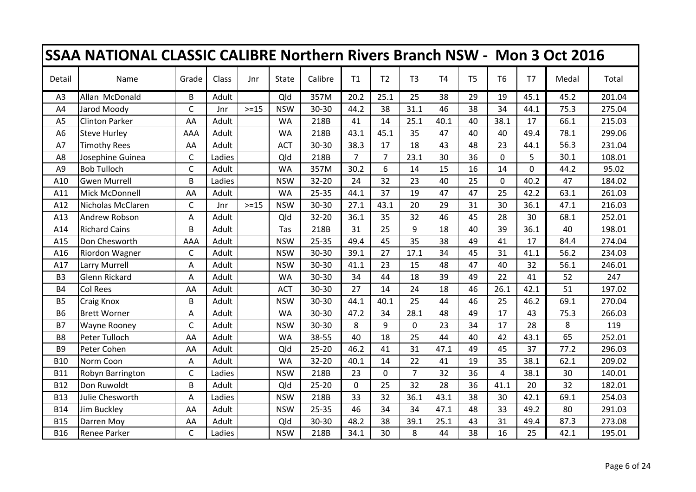| <b>SSAA NATIONAL CLASSIC CALIBRE Northern Rivers Branch NSW - Mon 3 Oct 2016</b> |                       |              |        |        |            |           |                |                |                |           |                |                |          |       |        |
|----------------------------------------------------------------------------------|-----------------------|--------------|--------|--------|------------|-----------|----------------|----------------|----------------|-----------|----------------|----------------|----------|-------|--------|
| Detail                                                                           | Name                  | Grade        | Class  | Jnr    | State      | Calibre   | T1             | T <sub>2</sub> | T <sub>3</sub> | <b>T4</b> | T <sub>5</sub> | T <sub>6</sub> | T7       | Medal | Total  |
| A3                                                                               | Allan McDonald        | B            | Adult  |        | Qld        | 357M      | 20.2           | 25.1           | 25             | 38        | 29             | 19             | 45.1     | 45.2  | 201.04 |
| A4                                                                               | Jarod Moody           | $\mathsf{C}$ | Jnr    | $>=15$ | <b>NSW</b> | 30-30     | 44.2           | 38             | 31.1           | 46        | 38             | 34             | 44.1     | 75.3  | 275.04 |
| A <sub>5</sub>                                                                   | <b>Clinton Parker</b> | AA           | Adult  |        | <b>WA</b>  | 218B      | 41             | 14             | 25.1           | 40.1      | 40             | 38.1           | 17       | 66.1  | 215.03 |
| A <sub>6</sub>                                                                   | <b>Steve Hurley</b>   | AAA          | Adult  |        | <b>WA</b>  | 218B      | 43.1           | 45.1           | 35             | 47        | 40             | 40             | 49.4     | 78.1  | 299.06 |
| A7                                                                               | <b>Timothy Rees</b>   | AA           | Adult  |        | <b>ACT</b> | $30 - 30$ | 38.3           | 17             | 18             | 43        | 48             | 23             | 44.1     | 56.3  | 231.04 |
| A8                                                                               | Josephine Guinea      | $\mathsf{C}$ | Ladies |        | Qld        | 218B      | $\overline{7}$ | $\overline{7}$ | 23.1           | 30        | 36             | $\Omega$       | 5        | 30.1  | 108.01 |
| A <sub>9</sub>                                                                   | <b>Bob Tulloch</b>    | $\mathsf{C}$ | Adult  |        | <b>WA</b>  | 357M      | 30.2           | 6              | 14             | 15        | 16             | 14             | $\Omega$ | 44.2  | 95.02  |
| A10                                                                              | <b>Gwen Murrell</b>   | B            | Ladies |        | <b>NSW</b> | $32 - 20$ | 24             | 32             | 23             | 40        | 25             | $\mathbf 0$    | 40.2     | 47    | 184.02 |
| A11                                                                              | Mick McDonnell        | AA           | Adult  |        | <b>WA</b>  | 25-35     | 44.1           | 37             | 19             | 47        | 47             | 25             | 42.2     | 63.1  | 261.03 |
| A12                                                                              | Nicholas McClaren     | C            | Jnr    | $>=15$ | <b>NSW</b> | 30-30     | 27.1           | 43.1           | 20             | 29        | 31             | 30             | 36.1     | 47.1  | 216.03 |
| A13                                                                              | Andrew Robson         | A            | Adult  |        | Qld        | 32-20     | 36.1           | 35             | 32             | 46        | 45             | 28             | 30       | 68.1  | 252.01 |
| A14                                                                              | <b>Richard Cains</b>  | B            | Adult  |        | Tas        | 218B      | 31             | 25             | 9              | 18        | 40             | 39             | 36.1     | 40    | 198.01 |
| A15                                                                              | Don Chesworth         | AAA          | Adult  |        | <b>NSW</b> | $25 - 35$ | 49.4           | 45             | 35             | 38        | 49             | 41             | 17       | 84.4  | 274.04 |
| A16                                                                              | Riordon Wagner        | C            | Adult  |        | <b>NSW</b> | 30-30     | 39.1           | 27             | 17.1           | 34        | 45             | 31             | 41.1     | 56.2  | 234.03 |
| A17                                                                              | Larry Murrell         | Α            | Adult  |        | <b>NSW</b> | $30 - 30$ | 41.1           | 23             | 15             | 48        | 47             | 40             | 32       | 56.1  | 246.01 |
| B <sub>3</sub>                                                                   | <b>Glenn Rickard</b>  | Α            | Adult  |        | <b>WA</b>  | 30-30     | 34             | 44             | 18             | 39        | 49             | 22             | 41       | 52    | 247    |
| <b>B4</b>                                                                        | <b>Col Rees</b>       | AA           | Adult  |        | <b>ACT</b> | 30-30     | 27             | 14             | 24             | 18        | 46             | 26.1           | 42.1     | 51    | 197.02 |
| <b>B5</b>                                                                        | <b>Craig Knox</b>     | B            | Adult  |        | <b>NSW</b> | 30-30     | 44.1           | 40.1           | 25             | 44        | 46             | 25             | 46.2     | 69.1  | 270.04 |
| <b>B6</b>                                                                        | <b>Brett Worner</b>   | A            | Adult  |        | <b>WA</b>  | $30 - 30$ | 47.2           | 34             | 28.1           | 48        | 49             | 17             | 43       | 75.3  | 266.03 |
| <b>B7</b>                                                                        | <b>Wayne Rooney</b>   | $\mathsf{C}$ | Adult  |        | <b>NSW</b> | $30 - 30$ | 8              | 9              | $\mathbf 0$    | 23        | 34             | 17             | 28       | 8     | 119    |
| B <sub>8</sub>                                                                   | Peter Tulloch         | AA           | Adult  |        | <b>WA</b>  | 38-55     | 40             | 18             | 25             | 44        | 40             | 42             | 43.1     | 65    | 252.01 |
| B <sub>9</sub>                                                                   | Peter Cohen           | AA           | Adult  |        | Qld        | $25 - 20$ | 46.2           | 41             | 31             | 47.1      | 49             | 45             | 37       | 77.2  | 296.03 |
| <b>B10</b>                                                                       | Norm Coon             | Α            | Adult  |        | <b>WA</b>  | $32 - 20$ | 40.1           | 14             | 22             | 41        | 19             | 35             | 38.1     | 62.1  | 209.02 |
| <b>B11</b>                                                                       | Robyn Barrington      | C            | Ladies |        | <b>NSW</b> | 218B      | 23             | 0              | $\overline{7}$ | 32        | 36             | 4              | 38.1     | 30    | 140.01 |
| <b>B12</b>                                                                       | Don Ruwoldt           | B            | Adult  |        | Qld        | $25 - 20$ | $\mathbf{0}$   | 25             | 32             | 28        | 36             | 41.1           | 20       | 32    | 182.01 |
| <b>B13</b>                                                                       | Julie Chesworth       | Α            | Ladies |        | <b>NSW</b> | 218B      | 33             | 32             | 36.1           | 43.1      | 38             | 30             | 42.1     | 69.1  | 254.03 |
| <b>B14</b>                                                                       | Jim Buckley           | AA           | Adult  |        | <b>NSW</b> | $25 - 35$ | 46             | 34             | 34             | 47.1      | 48             | 33             | 49.2     | 80    | 291.03 |
| <b>B15</b>                                                                       | Darren Moy            | AA           | Adult  |        | Qld        | 30-30     | 48.2           | 38             | 39.1           | 25.1      | 43             | 31             | 49.4     | 87.3  | 273.08 |
| <b>B16</b>                                                                       | <b>Renee Parker</b>   | $\mathsf{C}$ | Ladies |        | <b>NSW</b> | 218B      | 34.1           | 30             | 8              | 44        | 38             | 16             | 25       | 42.1  | 195.01 |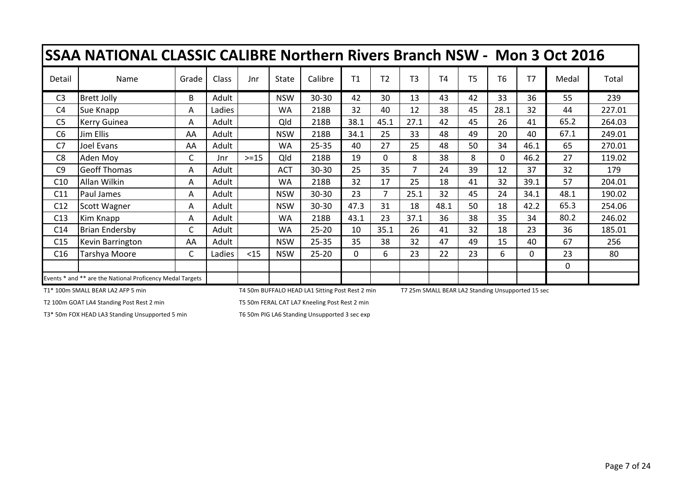|                 | SSAA NATIONAL CLASSIC CALIBRE Northern Rivers Branch NSW - Mon 3 Oct 2016 |              |        |        |              |           |                |                |                |                |                |                |          |              |        |
|-----------------|---------------------------------------------------------------------------|--------------|--------|--------|--------------|-----------|----------------|----------------|----------------|----------------|----------------|----------------|----------|--------------|--------|
| Detail          | Name                                                                      | Grade        | Class  | Jnr    | <b>State</b> | Calibre   | T <sub>1</sub> | T <sub>2</sub> | T <sub>3</sub> | T <sub>4</sub> | T <sub>5</sub> | T <sub>6</sub> | T7       | Medal        | Total  |
| C <sub>3</sub>  | <b>Brett Jolly</b>                                                        | B            | Adult  |        | <b>NSW</b>   | 30-30     | 42             | 30             | 13             | 43             | 42             | 33             | 36       | 55           | 239    |
| C <sub>4</sub>  | Sue Knapp                                                                 | A            | Ladies |        | WA           | 218B      | 32             | 40             | 12             | 38             | 45             | 28.1           | 32       | 44           | 227.01 |
| C <sub>5</sub>  | <b>Kerry Guinea</b>                                                       | A            | Adult  |        | Qld          | 218B      | 38.1           | 45.1           | 27.1           | 42             | 45             | 26             | 41       | 65.2         | 264.03 |
| C <sub>6</sub>  | Jim Ellis                                                                 | AA           | Adult  |        | <b>NSW</b>   | 218B      | 34.1           | 25             | 33             | 48             | 49             | 20             | 40       | 67.1         | 249.01 |
| C7              | Joel Evans                                                                | AA           | Adult  |        | WA           | $25 - 35$ | 40             | 27             | 25             | 48             | 50             | 34             | 46.1     | 65           | 270.01 |
| C <sub>8</sub>  | Aden Moy                                                                  | C            | Jnr    | $>=15$ | Qld          | 218B      | 19             | 0              | 8              | 38             | 8              | $\Omega$       | 46.2     | 27           | 119.02 |
| C <sub>9</sub>  | <b>Geoff Thomas</b>                                                       | A            | Adult  |        | <b>ACT</b>   | $30 - 30$ | 25             | 35             | $\overline{7}$ | 24             | 39             | 12             | 37       | 32           | 179    |
| C10             | Allan Wilkin                                                              | A            | Adult  |        | WA           | 218B      | 32             | 17             | 25             | 18             | 41             | 32             | 39.1     | 57           | 204.01 |
| C11             | Paul James                                                                | A            | Adult  |        | <b>NSW</b>   | 30-30     | 23             | 7              | 25.1           | 32             | 45             | 24             | 34.1     | 48.1         | 190.02 |
| C12             | Scott Wagner                                                              | Α            | Adult  |        | <b>NSW</b>   | 30-30     | 47.3           | 31             | 18             | 48.1           | 50             | 18             | 42.2     | 65.3         | 254.06 |
| C13             | Kim Knapp                                                                 | A            | Adult  |        | <b>WA</b>    | 218B      | 43.1           | 23             | 37.1           | 36             | 38             | 35             | 34       | 80.2         | 246.02 |
| C <sub>14</sub> | <b>Brian Endersby</b>                                                     | $\mathsf{C}$ | Adult  |        | WA           | $25 - 20$ | 10             | 35.1           | 26             | 41             | 32             | 18             | 23       | 36           | 185.01 |
| C15             | Kevin Barrington                                                          | AA           | Adult  |        | <b>NSW</b>   | $25 - 35$ | 35             | 38             | 32             | 47             | 49             | 15             | 40       | 67           | 256    |
| C16             | Tarshya Moore                                                             | C            | Ladies | $15$   | <b>NSW</b>   | $25 - 20$ | 0              | 6              | 23             | 22             | 23             | 6              | $\Omega$ | 23           | 80     |
|                 |                                                                           |              |        |        |              |           |                |                |                |                |                |                |          | $\mathbf{0}$ |        |
|                 | Events * and ** are the National Proficency Medal Targets                 |              |        |        |              |           |                |                |                |                |                |                |          |              |        |

T1\* 100m SMALL BEAR LA2 AFP 5 min T4 50m BUFFALO HEAD LA1 Sitting Post Rest 2 min T7 25m SMALL BEAR LA2 Standing Unsupported 15 sec

T2 100m GOAT LA4 Standing Post Rest 2 min T5 50m FERAL CAT LA7 Kneeling Post Rest 2 min

T3\* 50m FOX HEAD LA3 Standing Unsupported 5 min T6 50m PIG LA6 Standing Unsupported 3 sec exp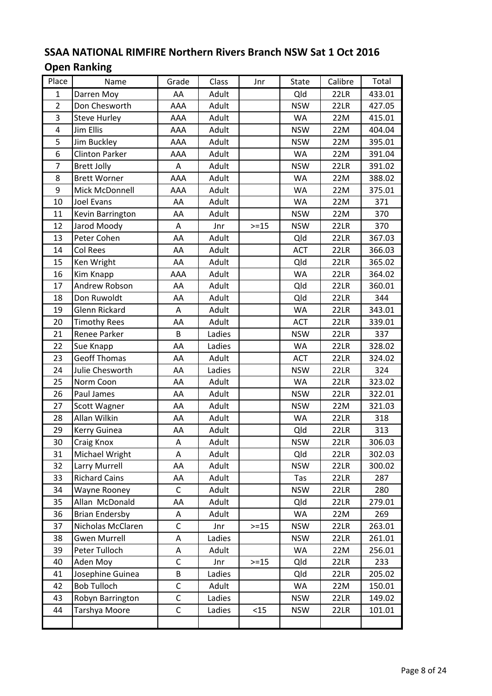#### SSAA NATIONAL RIMFIRE Northern Rivers Branch NSW Sat 1 Oct 2016 Open Ranking

| Adult<br>Qld<br>22LR<br>$\mathbf{1}$<br>Darren Moy<br>AA<br>433.01<br>$\overline{2}$<br>Don Chesworth<br>AAA<br><b>NSW</b><br>Adult<br>22LR<br>427.05<br>3<br><b>Steve Hurley</b><br>AAA<br>Adult<br><b>WA</b><br>22M<br>415.01<br>$\overline{4}$<br><b>NSW</b><br>22M<br>Jim Ellis<br>AAA<br>Adult<br>404.04<br>5<br>AAA<br>Jim Buckley<br>Adult<br><b>NSW</b><br>22M<br>395.01<br>6<br><b>Clinton Parker</b><br>AAA<br>Adult<br><b>WA</b><br>22M<br>391.04<br>$\overline{7}$<br>Adult<br>22LR<br><b>Brett Jolly</b><br><b>NSW</b><br>391.02<br>Α<br>8<br><b>Brett Worner</b><br>AAA<br>Adult<br><b>WA</b><br>22M<br>388.02<br>9<br>AAA<br><b>WA</b><br>22M<br>375.01<br>Mick McDonnell<br>Adult<br>10<br>Joel Evans<br>Adult<br><b>WA</b><br>22M<br>371<br>AA<br><b>NSW</b><br>22M<br>370<br>11<br>Adult<br>Kevin Barrington<br>AA<br>12<br>Jarod Moody<br>$>=15$<br><b>NSW</b><br>22LR<br>370<br>Α<br>Jnr<br>13<br>Adult<br>Qld<br>Peter Cohen<br>AA<br>22LR<br>367.03<br>14<br>AA<br>ACT<br>22LR<br><b>Col Rees</b><br>Adult<br>366.03<br>15<br>Qld<br>22LR<br>365.02<br>Ken Wright<br>AA<br>Adult<br>16<br>AAA<br><b>WA</b><br>22LR<br>364.02<br>Kim Knapp<br>Adult<br>17<br>Andrew Robson<br>Adult<br>Qld<br>22LR<br>360.01<br>AA<br>18<br>Adult<br>Qld<br>22LR<br>Don Ruwoldt<br>AA<br>344<br>19<br>Glenn Rickard<br><b>WA</b><br>22LR<br>Α<br>Adult<br>343.01<br>20<br>Adult<br><b>ACT</b><br>22LR<br>339.01<br><b>Timothy Rees</b><br>AA<br>21<br>Renee Parker<br>B<br>Ladies<br><b>NSW</b><br>22LR<br>337<br>22<br>Ladies<br><b>WA</b><br>22LR<br>328.02<br>Sue Knapp<br>AA<br>23<br><b>Geoff Thomas</b><br>22LR<br>AA<br>Adult<br><b>ACT</b><br>324.02<br>24<br>Julie Chesworth<br>AA<br>Ladies<br><b>NSW</b><br>22LR<br>324<br>25<br>AA<br>Adult<br><b>WA</b><br>22LR<br>323.02<br>Norm Coon<br>26<br>Paul James<br>22LR<br>AA<br>Adult<br><b>NSW</b><br>322.01<br>27<br>AA<br>Adult<br><b>NSW</b><br>22M<br>321.03<br>Scott Wagner<br>28<br>Allan Wilkin<br>AA<br><b>WA</b><br>22LR<br>Adult<br>318<br>29<br>22LR<br>313<br>Kerry Guinea<br>AA<br>Adult<br>Qld<br>30<br>22LR<br>306.03<br>A<br>Craig Knox<br>Adult<br><b>NSW</b><br>31<br>Michael Wright<br>Qld<br>22LR<br>Α<br>Adult<br>302.03<br>32<br>Larry Murrell<br>Adult<br><b>NSW</b><br>AA<br>22LR<br>300.02<br>33<br><b>Richard Cains</b><br>AA<br>Adult<br>Tas<br>22LR<br>287<br>34<br>$\mathsf{C}$<br><b>NSW</b><br>22LR<br>280<br>Wayne Rooney<br>Adult<br>35<br>Allan McDonald<br>Qld<br>AA<br>Adult<br>22LR<br>279.01<br>36<br><b>Brian Endersby</b><br>WA<br>22M<br>Adult<br>269<br>А<br>37<br>$>=15$<br>263.01<br>Nicholas McClaren<br>C<br><b>NSW</b><br>22LR<br>Jnr<br>38<br><b>Gwen Murrell</b><br>Ladies<br><b>NSW</b><br>22LR<br>261.01<br>Α<br>39<br>Peter Tulloch<br>Adult<br><b>WA</b><br>256.01<br>22M<br>Α<br>$\mathsf C$<br>40<br>$>=15$<br>Qld<br>Aden Moy<br>Jnr<br>22LR<br>233<br>Josephine Guinea<br>41<br>Ladies<br>B<br>Qld<br>22LR<br>205.02<br>$\mathsf{C}$<br><b>Bob Tulloch</b><br>22M<br>42<br>Adult<br>WA<br>150.01<br>Ladies<br>43<br>Robyn Barrington<br>С<br><b>NSW</b><br>22LR<br>149.02<br>44<br>$\mathsf C$<br>< 15<br>Tarshya Moore<br>Ladies<br><b>NSW</b><br>22LR<br>101.01 | Place | Name | Grade | Class | Jnr | State | Calibre | Total |
|-------------------------------------------------------------------------------------------------------------------------------------------------------------------------------------------------------------------------------------------------------------------------------------------------------------------------------------------------------------------------------------------------------------------------------------------------------------------------------------------------------------------------------------------------------------------------------------------------------------------------------------------------------------------------------------------------------------------------------------------------------------------------------------------------------------------------------------------------------------------------------------------------------------------------------------------------------------------------------------------------------------------------------------------------------------------------------------------------------------------------------------------------------------------------------------------------------------------------------------------------------------------------------------------------------------------------------------------------------------------------------------------------------------------------------------------------------------------------------------------------------------------------------------------------------------------------------------------------------------------------------------------------------------------------------------------------------------------------------------------------------------------------------------------------------------------------------------------------------------------------------------------------------------------------------------------------------------------------------------------------------------------------------------------------------------------------------------------------------------------------------------------------------------------------------------------------------------------------------------------------------------------------------------------------------------------------------------------------------------------------------------------------------------------------------------------------------------------------------------------------------------------------------------------------------------------------------------------------------------------------------------------------------------------------------------------------------------------------------------------------------------------------------------------------------------------------------------------------------------------------------------------------------------------------------------------------------------------------------------------------------------------------------------------------------------------------------------------------------------------------------------------------------------------------------------------|-------|------|-------|-------|-----|-------|---------|-------|
|                                                                                                                                                                                                                                                                                                                                                                                                                                                                                                                                                                                                                                                                                                                                                                                                                                                                                                                                                                                                                                                                                                                                                                                                                                                                                                                                                                                                                                                                                                                                                                                                                                                                                                                                                                                                                                                                                                                                                                                                                                                                                                                                                                                                                                                                                                                                                                                                                                                                                                                                                                                                                                                                                                                                                                                                                                                                                                                                                                                                                                                                                                                                                                                           |       |      |       |       |     |       |         |       |
|                                                                                                                                                                                                                                                                                                                                                                                                                                                                                                                                                                                                                                                                                                                                                                                                                                                                                                                                                                                                                                                                                                                                                                                                                                                                                                                                                                                                                                                                                                                                                                                                                                                                                                                                                                                                                                                                                                                                                                                                                                                                                                                                                                                                                                                                                                                                                                                                                                                                                                                                                                                                                                                                                                                                                                                                                                                                                                                                                                                                                                                                                                                                                                                           |       |      |       |       |     |       |         |       |
|                                                                                                                                                                                                                                                                                                                                                                                                                                                                                                                                                                                                                                                                                                                                                                                                                                                                                                                                                                                                                                                                                                                                                                                                                                                                                                                                                                                                                                                                                                                                                                                                                                                                                                                                                                                                                                                                                                                                                                                                                                                                                                                                                                                                                                                                                                                                                                                                                                                                                                                                                                                                                                                                                                                                                                                                                                                                                                                                                                                                                                                                                                                                                                                           |       |      |       |       |     |       |         |       |
|                                                                                                                                                                                                                                                                                                                                                                                                                                                                                                                                                                                                                                                                                                                                                                                                                                                                                                                                                                                                                                                                                                                                                                                                                                                                                                                                                                                                                                                                                                                                                                                                                                                                                                                                                                                                                                                                                                                                                                                                                                                                                                                                                                                                                                                                                                                                                                                                                                                                                                                                                                                                                                                                                                                                                                                                                                                                                                                                                                                                                                                                                                                                                                                           |       |      |       |       |     |       |         |       |
|                                                                                                                                                                                                                                                                                                                                                                                                                                                                                                                                                                                                                                                                                                                                                                                                                                                                                                                                                                                                                                                                                                                                                                                                                                                                                                                                                                                                                                                                                                                                                                                                                                                                                                                                                                                                                                                                                                                                                                                                                                                                                                                                                                                                                                                                                                                                                                                                                                                                                                                                                                                                                                                                                                                                                                                                                                                                                                                                                                                                                                                                                                                                                                                           |       |      |       |       |     |       |         |       |
|                                                                                                                                                                                                                                                                                                                                                                                                                                                                                                                                                                                                                                                                                                                                                                                                                                                                                                                                                                                                                                                                                                                                                                                                                                                                                                                                                                                                                                                                                                                                                                                                                                                                                                                                                                                                                                                                                                                                                                                                                                                                                                                                                                                                                                                                                                                                                                                                                                                                                                                                                                                                                                                                                                                                                                                                                                                                                                                                                                                                                                                                                                                                                                                           |       |      |       |       |     |       |         |       |
|                                                                                                                                                                                                                                                                                                                                                                                                                                                                                                                                                                                                                                                                                                                                                                                                                                                                                                                                                                                                                                                                                                                                                                                                                                                                                                                                                                                                                                                                                                                                                                                                                                                                                                                                                                                                                                                                                                                                                                                                                                                                                                                                                                                                                                                                                                                                                                                                                                                                                                                                                                                                                                                                                                                                                                                                                                                                                                                                                                                                                                                                                                                                                                                           |       |      |       |       |     |       |         |       |
|                                                                                                                                                                                                                                                                                                                                                                                                                                                                                                                                                                                                                                                                                                                                                                                                                                                                                                                                                                                                                                                                                                                                                                                                                                                                                                                                                                                                                                                                                                                                                                                                                                                                                                                                                                                                                                                                                                                                                                                                                                                                                                                                                                                                                                                                                                                                                                                                                                                                                                                                                                                                                                                                                                                                                                                                                                                                                                                                                                                                                                                                                                                                                                                           |       |      |       |       |     |       |         |       |
|                                                                                                                                                                                                                                                                                                                                                                                                                                                                                                                                                                                                                                                                                                                                                                                                                                                                                                                                                                                                                                                                                                                                                                                                                                                                                                                                                                                                                                                                                                                                                                                                                                                                                                                                                                                                                                                                                                                                                                                                                                                                                                                                                                                                                                                                                                                                                                                                                                                                                                                                                                                                                                                                                                                                                                                                                                                                                                                                                                                                                                                                                                                                                                                           |       |      |       |       |     |       |         |       |
|                                                                                                                                                                                                                                                                                                                                                                                                                                                                                                                                                                                                                                                                                                                                                                                                                                                                                                                                                                                                                                                                                                                                                                                                                                                                                                                                                                                                                                                                                                                                                                                                                                                                                                                                                                                                                                                                                                                                                                                                                                                                                                                                                                                                                                                                                                                                                                                                                                                                                                                                                                                                                                                                                                                                                                                                                                                                                                                                                                                                                                                                                                                                                                                           |       |      |       |       |     |       |         |       |
|                                                                                                                                                                                                                                                                                                                                                                                                                                                                                                                                                                                                                                                                                                                                                                                                                                                                                                                                                                                                                                                                                                                                                                                                                                                                                                                                                                                                                                                                                                                                                                                                                                                                                                                                                                                                                                                                                                                                                                                                                                                                                                                                                                                                                                                                                                                                                                                                                                                                                                                                                                                                                                                                                                                                                                                                                                                                                                                                                                                                                                                                                                                                                                                           |       |      |       |       |     |       |         |       |
|                                                                                                                                                                                                                                                                                                                                                                                                                                                                                                                                                                                                                                                                                                                                                                                                                                                                                                                                                                                                                                                                                                                                                                                                                                                                                                                                                                                                                                                                                                                                                                                                                                                                                                                                                                                                                                                                                                                                                                                                                                                                                                                                                                                                                                                                                                                                                                                                                                                                                                                                                                                                                                                                                                                                                                                                                                                                                                                                                                                                                                                                                                                                                                                           |       |      |       |       |     |       |         |       |
|                                                                                                                                                                                                                                                                                                                                                                                                                                                                                                                                                                                                                                                                                                                                                                                                                                                                                                                                                                                                                                                                                                                                                                                                                                                                                                                                                                                                                                                                                                                                                                                                                                                                                                                                                                                                                                                                                                                                                                                                                                                                                                                                                                                                                                                                                                                                                                                                                                                                                                                                                                                                                                                                                                                                                                                                                                                                                                                                                                                                                                                                                                                                                                                           |       |      |       |       |     |       |         |       |
|                                                                                                                                                                                                                                                                                                                                                                                                                                                                                                                                                                                                                                                                                                                                                                                                                                                                                                                                                                                                                                                                                                                                                                                                                                                                                                                                                                                                                                                                                                                                                                                                                                                                                                                                                                                                                                                                                                                                                                                                                                                                                                                                                                                                                                                                                                                                                                                                                                                                                                                                                                                                                                                                                                                                                                                                                                                                                                                                                                                                                                                                                                                                                                                           |       |      |       |       |     |       |         |       |
|                                                                                                                                                                                                                                                                                                                                                                                                                                                                                                                                                                                                                                                                                                                                                                                                                                                                                                                                                                                                                                                                                                                                                                                                                                                                                                                                                                                                                                                                                                                                                                                                                                                                                                                                                                                                                                                                                                                                                                                                                                                                                                                                                                                                                                                                                                                                                                                                                                                                                                                                                                                                                                                                                                                                                                                                                                                                                                                                                                                                                                                                                                                                                                                           |       |      |       |       |     |       |         |       |
|                                                                                                                                                                                                                                                                                                                                                                                                                                                                                                                                                                                                                                                                                                                                                                                                                                                                                                                                                                                                                                                                                                                                                                                                                                                                                                                                                                                                                                                                                                                                                                                                                                                                                                                                                                                                                                                                                                                                                                                                                                                                                                                                                                                                                                                                                                                                                                                                                                                                                                                                                                                                                                                                                                                                                                                                                                                                                                                                                                                                                                                                                                                                                                                           |       |      |       |       |     |       |         |       |
|                                                                                                                                                                                                                                                                                                                                                                                                                                                                                                                                                                                                                                                                                                                                                                                                                                                                                                                                                                                                                                                                                                                                                                                                                                                                                                                                                                                                                                                                                                                                                                                                                                                                                                                                                                                                                                                                                                                                                                                                                                                                                                                                                                                                                                                                                                                                                                                                                                                                                                                                                                                                                                                                                                                                                                                                                                                                                                                                                                                                                                                                                                                                                                                           |       |      |       |       |     |       |         |       |
|                                                                                                                                                                                                                                                                                                                                                                                                                                                                                                                                                                                                                                                                                                                                                                                                                                                                                                                                                                                                                                                                                                                                                                                                                                                                                                                                                                                                                                                                                                                                                                                                                                                                                                                                                                                                                                                                                                                                                                                                                                                                                                                                                                                                                                                                                                                                                                                                                                                                                                                                                                                                                                                                                                                                                                                                                                                                                                                                                                                                                                                                                                                                                                                           |       |      |       |       |     |       |         |       |
|                                                                                                                                                                                                                                                                                                                                                                                                                                                                                                                                                                                                                                                                                                                                                                                                                                                                                                                                                                                                                                                                                                                                                                                                                                                                                                                                                                                                                                                                                                                                                                                                                                                                                                                                                                                                                                                                                                                                                                                                                                                                                                                                                                                                                                                                                                                                                                                                                                                                                                                                                                                                                                                                                                                                                                                                                                                                                                                                                                                                                                                                                                                                                                                           |       |      |       |       |     |       |         |       |
|                                                                                                                                                                                                                                                                                                                                                                                                                                                                                                                                                                                                                                                                                                                                                                                                                                                                                                                                                                                                                                                                                                                                                                                                                                                                                                                                                                                                                                                                                                                                                                                                                                                                                                                                                                                                                                                                                                                                                                                                                                                                                                                                                                                                                                                                                                                                                                                                                                                                                                                                                                                                                                                                                                                                                                                                                                                                                                                                                                                                                                                                                                                                                                                           |       |      |       |       |     |       |         |       |
|                                                                                                                                                                                                                                                                                                                                                                                                                                                                                                                                                                                                                                                                                                                                                                                                                                                                                                                                                                                                                                                                                                                                                                                                                                                                                                                                                                                                                                                                                                                                                                                                                                                                                                                                                                                                                                                                                                                                                                                                                                                                                                                                                                                                                                                                                                                                                                                                                                                                                                                                                                                                                                                                                                                                                                                                                                                                                                                                                                                                                                                                                                                                                                                           |       |      |       |       |     |       |         |       |
|                                                                                                                                                                                                                                                                                                                                                                                                                                                                                                                                                                                                                                                                                                                                                                                                                                                                                                                                                                                                                                                                                                                                                                                                                                                                                                                                                                                                                                                                                                                                                                                                                                                                                                                                                                                                                                                                                                                                                                                                                                                                                                                                                                                                                                                                                                                                                                                                                                                                                                                                                                                                                                                                                                                                                                                                                                                                                                                                                                                                                                                                                                                                                                                           |       |      |       |       |     |       |         |       |
|                                                                                                                                                                                                                                                                                                                                                                                                                                                                                                                                                                                                                                                                                                                                                                                                                                                                                                                                                                                                                                                                                                                                                                                                                                                                                                                                                                                                                                                                                                                                                                                                                                                                                                                                                                                                                                                                                                                                                                                                                                                                                                                                                                                                                                                                                                                                                                                                                                                                                                                                                                                                                                                                                                                                                                                                                                                                                                                                                                                                                                                                                                                                                                                           |       |      |       |       |     |       |         |       |
|                                                                                                                                                                                                                                                                                                                                                                                                                                                                                                                                                                                                                                                                                                                                                                                                                                                                                                                                                                                                                                                                                                                                                                                                                                                                                                                                                                                                                                                                                                                                                                                                                                                                                                                                                                                                                                                                                                                                                                                                                                                                                                                                                                                                                                                                                                                                                                                                                                                                                                                                                                                                                                                                                                                                                                                                                                                                                                                                                                                                                                                                                                                                                                                           |       |      |       |       |     |       |         |       |
|                                                                                                                                                                                                                                                                                                                                                                                                                                                                                                                                                                                                                                                                                                                                                                                                                                                                                                                                                                                                                                                                                                                                                                                                                                                                                                                                                                                                                                                                                                                                                                                                                                                                                                                                                                                                                                                                                                                                                                                                                                                                                                                                                                                                                                                                                                                                                                                                                                                                                                                                                                                                                                                                                                                                                                                                                                                                                                                                                                                                                                                                                                                                                                                           |       |      |       |       |     |       |         |       |
|                                                                                                                                                                                                                                                                                                                                                                                                                                                                                                                                                                                                                                                                                                                                                                                                                                                                                                                                                                                                                                                                                                                                                                                                                                                                                                                                                                                                                                                                                                                                                                                                                                                                                                                                                                                                                                                                                                                                                                                                                                                                                                                                                                                                                                                                                                                                                                                                                                                                                                                                                                                                                                                                                                                                                                                                                                                                                                                                                                                                                                                                                                                                                                                           |       |      |       |       |     |       |         |       |
|                                                                                                                                                                                                                                                                                                                                                                                                                                                                                                                                                                                                                                                                                                                                                                                                                                                                                                                                                                                                                                                                                                                                                                                                                                                                                                                                                                                                                                                                                                                                                                                                                                                                                                                                                                                                                                                                                                                                                                                                                                                                                                                                                                                                                                                                                                                                                                                                                                                                                                                                                                                                                                                                                                                                                                                                                                                                                                                                                                                                                                                                                                                                                                                           |       |      |       |       |     |       |         |       |
|                                                                                                                                                                                                                                                                                                                                                                                                                                                                                                                                                                                                                                                                                                                                                                                                                                                                                                                                                                                                                                                                                                                                                                                                                                                                                                                                                                                                                                                                                                                                                                                                                                                                                                                                                                                                                                                                                                                                                                                                                                                                                                                                                                                                                                                                                                                                                                                                                                                                                                                                                                                                                                                                                                                                                                                                                                                                                                                                                                                                                                                                                                                                                                                           |       |      |       |       |     |       |         |       |
|                                                                                                                                                                                                                                                                                                                                                                                                                                                                                                                                                                                                                                                                                                                                                                                                                                                                                                                                                                                                                                                                                                                                                                                                                                                                                                                                                                                                                                                                                                                                                                                                                                                                                                                                                                                                                                                                                                                                                                                                                                                                                                                                                                                                                                                                                                                                                                                                                                                                                                                                                                                                                                                                                                                                                                                                                                                                                                                                                                                                                                                                                                                                                                                           |       |      |       |       |     |       |         |       |
|                                                                                                                                                                                                                                                                                                                                                                                                                                                                                                                                                                                                                                                                                                                                                                                                                                                                                                                                                                                                                                                                                                                                                                                                                                                                                                                                                                                                                                                                                                                                                                                                                                                                                                                                                                                                                                                                                                                                                                                                                                                                                                                                                                                                                                                                                                                                                                                                                                                                                                                                                                                                                                                                                                                                                                                                                                                                                                                                                                                                                                                                                                                                                                                           |       |      |       |       |     |       |         |       |
|                                                                                                                                                                                                                                                                                                                                                                                                                                                                                                                                                                                                                                                                                                                                                                                                                                                                                                                                                                                                                                                                                                                                                                                                                                                                                                                                                                                                                                                                                                                                                                                                                                                                                                                                                                                                                                                                                                                                                                                                                                                                                                                                                                                                                                                                                                                                                                                                                                                                                                                                                                                                                                                                                                                                                                                                                                                                                                                                                                                                                                                                                                                                                                                           |       |      |       |       |     |       |         |       |
|                                                                                                                                                                                                                                                                                                                                                                                                                                                                                                                                                                                                                                                                                                                                                                                                                                                                                                                                                                                                                                                                                                                                                                                                                                                                                                                                                                                                                                                                                                                                                                                                                                                                                                                                                                                                                                                                                                                                                                                                                                                                                                                                                                                                                                                                                                                                                                                                                                                                                                                                                                                                                                                                                                                                                                                                                                                                                                                                                                                                                                                                                                                                                                                           |       |      |       |       |     |       |         |       |
|                                                                                                                                                                                                                                                                                                                                                                                                                                                                                                                                                                                                                                                                                                                                                                                                                                                                                                                                                                                                                                                                                                                                                                                                                                                                                                                                                                                                                                                                                                                                                                                                                                                                                                                                                                                                                                                                                                                                                                                                                                                                                                                                                                                                                                                                                                                                                                                                                                                                                                                                                                                                                                                                                                                                                                                                                                                                                                                                                                                                                                                                                                                                                                                           |       |      |       |       |     |       |         |       |
|                                                                                                                                                                                                                                                                                                                                                                                                                                                                                                                                                                                                                                                                                                                                                                                                                                                                                                                                                                                                                                                                                                                                                                                                                                                                                                                                                                                                                                                                                                                                                                                                                                                                                                                                                                                                                                                                                                                                                                                                                                                                                                                                                                                                                                                                                                                                                                                                                                                                                                                                                                                                                                                                                                                                                                                                                                                                                                                                                                                                                                                                                                                                                                                           |       |      |       |       |     |       |         |       |
|                                                                                                                                                                                                                                                                                                                                                                                                                                                                                                                                                                                                                                                                                                                                                                                                                                                                                                                                                                                                                                                                                                                                                                                                                                                                                                                                                                                                                                                                                                                                                                                                                                                                                                                                                                                                                                                                                                                                                                                                                                                                                                                                                                                                                                                                                                                                                                                                                                                                                                                                                                                                                                                                                                                                                                                                                                                                                                                                                                                                                                                                                                                                                                                           |       |      |       |       |     |       |         |       |
|                                                                                                                                                                                                                                                                                                                                                                                                                                                                                                                                                                                                                                                                                                                                                                                                                                                                                                                                                                                                                                                                                                                                                                                                                                                                                                                                                                                                                                                                                                                                                                                                                                                                                                                                                                                                                                                                                                                                                                                                                                                                                                                                                                                                                                                                                                                                                                                                                                                                                                                                                                                                                                                                                                                                                                                                                                                                                                                                                                                                                                                                                                                                                                                           |       |      |       |       |     |       |         |       |
|                                                                                                                                                                                                                                                                                                                                                                                                                                                                                                                                                                                                                                                                                                                                                                                                                                                                                                                                                                                                                                                                                                                                                                                                                                                                                                                                                                                                                                                                                                                                                                                                                                                                                                                                                                                                                                                                                                                                                                                                                                                                                                                                                                                                                                                                                                                                                                                                                                                                                                                                                                                                                                                                                                                                                                                                                                                                                                                                                                                                                                                                                                                                                                                           |       |      |       |       |     |       |         |       |
|                                                                                                                                                                                                                                                                                                                                                                                                                                                                                                                                                                                                                                                                                                                                                                                                                                                                                                                                                                                                                                                                                                                                                                                                                                                                                                                                                                                                                                                                                                                                                                                                                                                                                                                                                                                                                                                                                                                                                                                                                                                                                                                                                                                                                                                                                                                                                                                                                                                                                                                                                                                                                                                                                                                                                                                                                                                                                                                                                                                                                                                                                                                                                                                           |       |      |       |       |     |       |         |       |
|                                                                                                                                                                                                                                                                                                                                                                                                                                                                                                                                                                                                                                                                                                                                                                                                                                                                                                                                                                                                                                                                                                                                                                                                                                                                                                                                                                                                                                                                                                                                                                                                                                                                                                                                                                                                                                                                                                                                                                                                                                                                                                                                                                                                                                                                                                                                                                                                                                                                                                                                                                                                                                                                                                                                                                                                                                                                                                                                                                                                                                                                                                                                                                                           |       |      |       |       |     |       |         |       |
|                                                                                                                                                                                                                                                                                                                                                                                                                                                                                                                                                                                                                                                                                                                                                                                                                                                                                                                                                                                                                                                                                                                                                                                                                                                                                                                                                                                                                                                                                                                                                                                                                                                                                                                                                                                                                                                                                                                                                                                                                                                                                                                                                                                                                                                                                                                                                                                                                                                                                                                                                                                                                                                                                                                                                                                                                                                                                                                                                                                                                                                                                                                                                                                           |       |      |       |       |     |       |         |       |
|                                                                                                                                                                                                                                                                                                                                                                                                                                                                                                                                                                                                                                                                                                                                                                                                                                                                                                                                                                                                                                                                                                                                                                                                                                                                                                                                                                                                                                                                                                                                                                                                                                                                                                                                                                                                                                                                                                                                                                                                                                                                                                                                                                                                                                                                                                                                                                                                                                                                                                                                                                                                                                                                                                                                                                                                                                                                                                                                                                                                                                                                                                                                                                                           |       |      |       |       |     |       |         |       |
|                                                                                                                                                                                                                                                                                                                                                                                                                                                                                                                                                                                                                                                                                                                                                                                                                                                                                                                                                                                                                                                                                                                                                                                                                                                                                                                                                                                                                                                                                                                                                                                                                                                                                                                                                                                                                                                                                                                                                                                                                                                                                                                                                                                                                                                                                                                                                                                                                                                                                                                                                                                                                                                                                                                                                                                                                                                                                                                                                                                                                                                                                                                                                                                           |       |      |       |       |     |       |         |       |
|                                                                                                                                                                                                                                                                                                                                                                                                                                                                                                                                                                                                                                                                                                                                                                                                                                                                                                                                                                                                                                                                                                                                                                                                                                                                                                                                                                                                                                                                                                                                                                                                                                                                                                                                                                                                                                                                                                                                                                                                                                                                                                                                                                                                                                                                                                                                                                                                                                                                                                                                                                                                                                                                                                                                                                                                                                                                                                                                                                                                                                                                                                                                                                                           |       |      |       |       |     |       |         |       |
|                                                                                                                                                                                                                                                                                                                                                                                                                                                                                                                                                                                                                                                                                                                                                                                                                                                                                                                                                                                                                                                                                                                                                                                                                                                                                                                                                                                                                                                                                                                                                                                                                                                                                                                                                                                                                                                                                                                                                                                                                                                                                                                                                                                                                                                                                                                                                                                                                                                                                                                                                                                                                                                                                                                                                                                                                                                                                                                                                                                                                                                                                                                                                                                           |       |      |       |       |     |       |         |       |
|                                                                                                                                                                                                                                                                                                                                                                                                                                                                                                                                                                                                                                                                                                                                                                                                                                                                                                                                                                                                                                                                                                                                                                                                                                                                                                                                                                                                                                                                                                                                                                                                                                                                                                                                                                                                                                                                                                                                                                                                                                                                                                                                                                                                                                                                                                                                                                                                                                                                                                                                                                                                                                                                                                                                                                                                                                                                                                                                                                                                                                                                                                                                                                                           |       |      |       |       |     |       |         |       |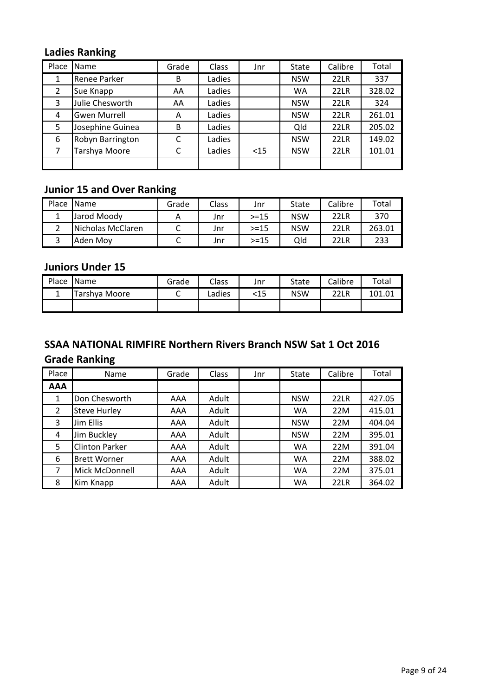### Ladies Ranking

| Place | <b>Name</b>         | Grade | <b>Class</b> | Jnr    | <b>State</b> | Calibre     | Total  |
|-------|---------------------|-------|--------------|--------|--------------|-------------|--------|
| 1     | Renee Parker        | B     | Ladies       |        | <b>NSW</b>   | <b>22LR</b> | 337    |
| 2     | Sue Knapp           | AA    | Ladies       |        | WA           | 22LR        | 328.02 |
| 3     | Julie Chesworth     | AA    | Ladies       |        | <b>NSW</b>   | <b>22LR</b> | 324    |
| 4     | <b>Gwen Murrell</b> | A     | Ladies       |        | <b>NSW</b>   | <b>22LR</b> | 261.01 |
| 5     | Josephine Guinea    | B     | Ladies       |        | Qld          | 22LR        | 205.02 |
| 6     | Robyn Barrington    | C     | Ladies       |        | <b>NSW</b>   | <b>22LR</b> | 149.02 |
| 7     | Tarshya Moore       | C     | Ladies       | $<$ 15 | <b>NSW</b>   | 22LR        | 101.01 |
|       |                     |       |              |        |              |             |        |

#### Junior 15 and Over Ranking

| Place Name |                   | Grade    | Class | Jnr      | State      | Calibre | Total  |
|------------|-------------------|----------|-------|----------|------------|---------|--------|
|            | Jarod Moody       | <u>r</u> | Jnr   | $> = 15$ | <b>NSW</b> | 22LR    | 370    |
|            | Nicholas McClaren |          | Jnr   | $> = 15$ | <b>NSW</b> | 22LR    | 263.01 |
|            | Aden Mov          | ֊        | Jnr   | $> = 15$ | Qld        | 22LR    | 233    |

#### Juniors Under 15

| Place | <b>IName</b>  | Grade | <b>Class</b> | Jnr | State | Calibre | Total  |
|-------|---------------|-------|--------------|-----|-------|---------|--------|
|       | Tarshva Moore |       | ∟adies       | <15 | NSW   | 22LR    | 101 01 |
|       |               |       |              |     |       |         |        |

# SSAA NATIONAL RIMFIRE Northern Rivers Branch NSW Sat 1 Oct 2016

### Grade Ranking

| Place      | Name                  | Grade | Class | Jnr | <b>State</b> | Calibre     | Total  |
|------------|-----------------------|-------|-------|-----|--------------|-------------|--------|
| <b>AAA</b> |                       |       |       |     |              |             |        |
| 1          | Don Chesworth         | AAA   | Adult |     | <b>NSW</b>   | <b>22LR</b> | 427.05 |
| 2          | <b>Steve Hurley</b>   | AAA   | Adult |     | WA           | 22M         | 415.01 |
| 3          | Jim Ellis             | AAA   | Adult |     | <b>NSW</b>   | 22M         | 404.04 |
| 4          | Jim Buckley           | AAA   | Adult |     | <b>NSW</b>   | 22M         | 395.01 |
| 5          | <b>Clinton Parker</b> | AAA   | Adult |     | WA           | 22M         | 391.04 |
| 6          | <b>Brett Worner</b>   | AAA   | Adult |     | WA           | 22M         | 388.02 |
| 7          | Mick McDonnell        | AAA   | Adult |     | <b>WA</b>    | 22M         | 375.01 |
| 8          | Kim Knapp             | AAA   | Adult |     | <b>WA</b>    | 22LR        | 364.02 |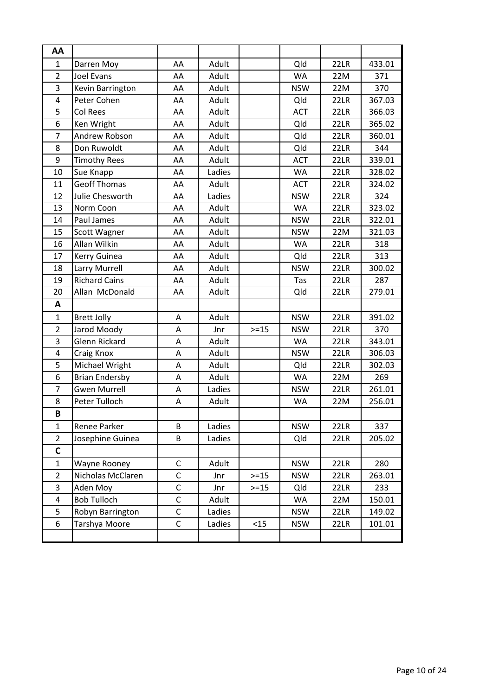| AA             |                       |              |        |          |            |      |        |
|----------------|-----------------------|--------------|--------|----------|------------|------|--------|
| $\mathbf{1}$   | Darren Moy            | AA           | Adult  |          | Qld        | 22LR | 433.01 |
| $\overline{2}$ | <b>Joel Evans</b>     | AA           | Adult  |          | <b>WA</b>  | 22M  | 371    |
| 3              | Kevin Barrington      | AA           | Adult  |          | <b>NSW</b> | 22M  | 370    |
| $\overline{4}$ | Peter Cohen           | AA           | Adult  |          | Qld        | 22LR | 367.03 |
| 5              | Col Rees              | AA           | Adult  |          | <b>ACT</b> | 22LR | 366.03 |
| 6              | Ken Wright            | AA           | Adult  |          | Qld        | 22LR | 365.02 |
| $\overline{7}$ | Andrew Robson         | AA           | Adult  |          | Qld        | 22LR | 360.01 |
| 8              | Don Ruwoldt           | AA           | Adult  |          | Qld        | 22LR | 344    |
| 9              | <b>Timothy Rees</b>   | AA           | Adult  |          | <b>ACT</b> | 22LR | 339.01 |
| 10             | Sue Knapp             | AA           | Ladies |          | <b>WA</b>  | 22LR | 328.02 |
| 11             | <b>Geoff Thomas</b>   | AA           | Adult  |          | <b>ACT</b> | 22LR | 324.02 |
| 12             | Julie Chesworth       | AA           | Ladies |          | <b>NSW</b> | 22LR | 324    |
| 13             | Norm Coon             | AA           | Adult  |          | <b>WA</b>  | 22LR | 323.02 |
| 14             | Paul James            | AA           | Adult  |          | <b>NSW</b> | 22LR | 322.01 |
| 15             | <b>Scott Wagner</b>   | AA           | Adult  |          | <b>NSW</b> | 22M  | 321.03 |
| 16             | Allan Wilkin          | AA           | Adult  |          | <b>WA</b>  | 22LR | 318    |
| 17             | Kerry Guinea          | AA           | Adult  |          | Qld        | 22LR | 313    |
| 18             | Larry Murrell         | AA           | Adult  |          | <b>NSW</b> | 22LR | 300.02 |
| 19             | <b>Richard Cains</b>  | AA           | Adult  |          | Tas        | 22LR | 287    |
| 20             | Allan McDonald        | AA           | Adult  |          | Qld        | 22LR | 279.01 |
| A              |                       |              |        |          |            |      |        |
| $\mathbf 1$    | <b>Brett Jolly</b>    | Α            | Adult  |          | <b>NSW</b> | 22LR | 391.02 |
| $\overline{2}$ | Jarod Moody           | A            | Jnr    | $>=15$   | <b>NSW</b> | 22LR | 370    |
| 3              | Glenn Rickard         | А            | Adult  |          | WA         | 22LR | 343.01 |
| $\overline{4}$ | Craig Knox            | Α            | Adult  |          | <b>NSW</b> | 22LR | 306.03 |
| 5              | Michael Wright        | Α            | Adult  |          | Qld        | 22LR | 302.03 |
| 6              | <b>Brian Endersby</b> | Α            | Adult  |          | <b>WA</b>  | 22M  | 269    |
| $\overline{7}$ | <b>Gwen Murrell</b>   | A            | Ladies |          | <b>NSW</b> | 22LR | 261.01 |
| 8              | Peter Tulloch         | A            | Adult  |          | <b>WA</b>  | 22M  | 256.01 |
| B              |                       |              |        |          |            |      |        |
| $\mathbf{1}$   | Renee Parker          | B            | Ladies |          | <b>NSW</b> | 22LR | 337    |
| $\overline{2}$ | Josephine Guinea      | B            | Ladies |          | Qld        | 22LR | 205.02 |
| $\mathsf C$    |                       |              |        |          |            |      |        |
| $\mathbf{1}$   | <b>Wayne Rooney</b>   | C            | Adult  |          | <b>NSW</b> | 22LR | 280    |
| $\overline{2}$ | Nicholas McClaren     | $\mathsf C$  | Jnr    | $>=15$   | <b>NSW</b> | 22LR | 263.01 |
| 3              | Aden Moy              | $\mathsf{C}$ | Jnr    | $> = 15$ | Qld        | 22LR | 233    |
| $\overline{4}$ | <b>Bob Tulloch</b>    | $\mathsf{C}$ | Adult  |          | WA         | 22M  | 150.01 |
| 5              | Robyn Barrington      | C            | Ladies |          | <b>NSW</b> | 22LR | 149.02 |
| 6              | Tarshya Moore         | $\mathsf C$  | Ladies | $<$ 15   | <b>NSW</b> | 22LR | 101.01 |
|                |                       |              |        |          |            |      |        |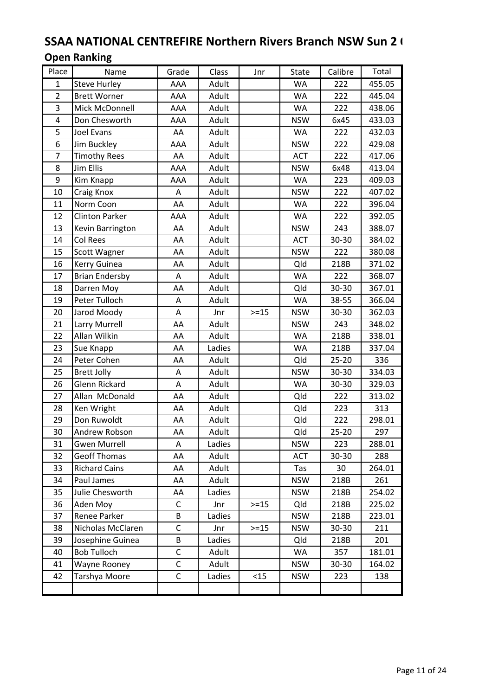# SSAA NATIONAL CENTREFIRE Northern Rivers Branch NSW Sun 2 ( Open Ranking

| Place          | Name                  | Grade       | Class  | Jnr    | State      | Calibre   | Total  |
|----------------|-----------------------|-------------|--------|--------|------------|-----------|--------|
| $\mathbf{1}$   | <b>Steve Hurley</b>   | AAA         | Adult  |        | WA         | 222       | 455.05 |
| $\overline{2}$ | <b>Brett Worner</b>   | AAA         | Adult  |        | WA         | 222       | 445.04 |
| 3              | Mick McDonnell        | AAA         | Adult  |        | <b>WA</b>  | 222       | 438.06 |
| $\overline{4}$ | Don Chesworth         | AAA         | Adult  |        | <b>NSW</b> | 6x45      | 433.03 |
| 5              | Joel Evans            | AA          | Adult  |        | <b>WA</b>  | 222       | 432.03 |
| 6              | Jim Buckley           | AAA         | Adult  |        | <b>NSW</b> | 222       | 429.08 |
| $\overline{7}$ | <b>Timothy Rees</b>   | AA          | Adult  |        | <b>ACT</b> | 222       | 417.06 |
| 8              | <b>Jim Ellis</b>      | AAA         | Adult  |        | <b>NSW</b> | 6x48      | 413.04 |
| 9              | Kim Knapp             | AAA         | Adult  |        | <b>WA</b>  | 223       | 409.03 |
| 10             | Craig Knox            | A           | Adult  |        | <b>NSW</b> | 222       | 407.02 |
| 11             | Norm Coon             | AA          | Adult  |        | WA         | 222       | 396.04 |
| 12             | <b>Clinton Parker</b> | AAA         | Adult  |        | <b>WA</b>  | 222       | 392.05 |
| 13             | Kevin Barrington      | AA          | Adult  |        | <b>NSW</b> | 243       | 388.07 |
| 14             | Col Rees              | AA          | Adult  |        | <b>ACT</b> | 30-30     | 384.02 |
| 15             | Scott Wagner          | AA          | Adult  |        | <b>NSW</b> | 222       | 380.08 |
| 16             | Kerry Guinea          | AA          | Adult  |        | Qld        | 218B      | 371.02 |
| 17             | <b>Brian Endersby</b> | Α           | Adult  |        | <b>WA</b>  | 222       | 368.07 |
| 18             | Darren Moy            | AA          | Adult  |        | Qld        | 30-30     | 367.01 |
| 19             | Peter Tulloch         | A           | Adult  |        | WA         | 38-55     | 366.04 |
| 20             | Jarod Moody           | Α           | Jnr    | $>=15$ | <b>NSW</b> | 30-30     | 362.03 |
| 21             | Larry Murrell         | AA          | Adult  |        | <b>NSW</b> | 243       | 348.02 |
| 22             | Allan Wilkin          | AA          | Adult  |        | <b>WA</b>  | 218B      | 338.01 |
| 23             | Sue Knapp             | AA          | Ladies |        | <b>WA</b>  | 218B      | 337.04 |
| 24             | Peter Cohen           | AA          | Adult  |        | Qld        | $25 - 20$ | 336    |
| 25             | <b>Brett Jolly</b>    | A           | Adult  |        | <b>NSW</b> | 30-30     | 334.03 |
| 26             | <b>Glenn Rickard</b>  | Α           | Adult  |        | <b>WA</b>  | 30-30     | 329.03 |
| 27             | Allan McDonald        | AA          | Adult  |        | Qld        | 222       | 313.02 |
| 28             | Ken Wright            | AA          | Adult  |        | Qld        | 223       | 313    |
| 29             | Don Ruwoldt           | AA          | Adult  |        | Qld        | 222       | 298.01 |
| 30             | Andrew Robson         | AA          | Adult  |        | Qld        | $25 - 20$ | 297    |
| 31             | <b>Gwen Murrell</b>   | A           | Ladies |        | <b>NSW</b> | 223       | 288.01 |
| 32             | <b>Geoff Thomas</b>   | AA          | Adult  |        | <b>ACT</b> | 30-30     | 288    |
| 33             | <b>Richard Cains</b>  | AA          | Adult  |        | Tas        | 30        | 264.01 |
| 34             | Paul James            | AA          | Adult  |        | <b>NSW</b> | 218B      | 261    |
| 35             | Julie Chesworth       | AA          | Ladies |        | <b>NSW</b> | 218B      | 254.02 |
| 36             | Aden Moy              | С           | Jnr    | $>=15$ | Qld        | 218B      | 225.02 |
| 37             | Renee Parker          | B           | Ladies |        | <b>NSW</b> | 218B      | 223.01 |
| 38             | Nicholas McClaren     | C           | Jnr    | $>=15$ | <b>NSW</b> | 30-30     | 211    |
| 39             | Josephine Guinea      | B           | Ladies |        | Qld        | 218B      | 201    |
| 40             | <b>Bob Tulloch</b>    | С           | Adult  |        | WA         | 357       | 181.01 |
| 41             | Wayne Rooney          | $\mathsf C$ | Adult  |        | <b>NSW</b> | 30-30     | 164.02 |
| 42             | Tarshya Moore         | С           | Ladies | $15$   | <b>NSW</b> | 223       | 138    |
|                |                       |             |        |        |            |           |        |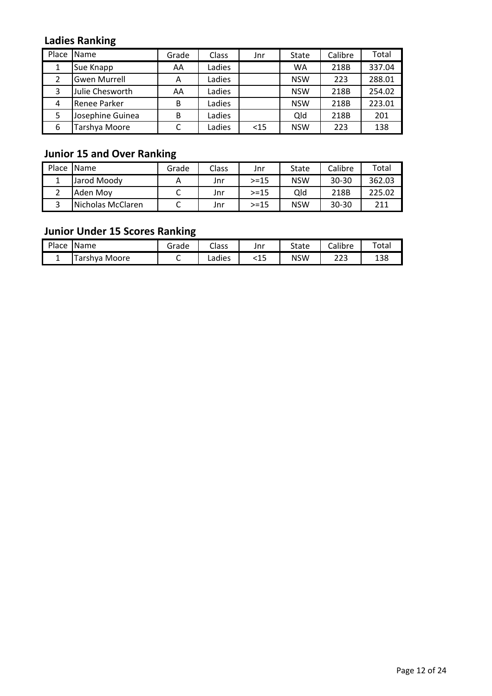### Ladies Ranking

| Place          | <b>Name</b>         | Grade | Class  | Jnr    | State      | Calibre | Total  |
|----------------|---------------------|-------|--------|--------|------------|---------|--------|
| 1              | Sue Knapp           | AA    | Ladies |        | WA         | 218B    | 337.04 |
| $\overline{2}$ | <b>Gwen Murrell</b> | A     | Ladies |        | <b>NSW</b> | 223     | 288.01 |
| 3              | Julie Chesworth     | AA    | Ladies |        | <b>NSW</b> | 218B    | 254.02 |
| 4              | <b>Renee Parker</b> | B     | Ladies |        | <b>NSW</b> | 218B    | 223.01 |
| 5              | Josephine Guinea    | B     | Ladies |        | Qld        | 218B    | 201    |
| 6              | Tarshya Moore       |       | Ladies | $<$ 15 | <b>NSW</b> | 223     | 138    |

# Junior 15 and Over Ranking

| Place | <b>Name</b>       | Grade | Class | Jnr      | State      | Calibre   | Total  |
|-------|-------------------|-------|-------|----------|------------|-----------|--------|
|       | Jarod Moodv       |       | Jnr   | $> = 15$ | <b>NSW</b> | 30-30     | 362.03 |
|       | Aden Mov          |       | Jnr   | $> = 15$ | Qld        | 218B      | 225.02 |
|       | Nicholas McClaren |       | Jnr   | $> = 15$ | <b>NSW</b> | $30 - 30$ | 211    |

### Junior Under 15 Scores Ranking

| Place | <b>Name</b>               | Grade | Class  | Jnr   | State      | Calibre    | $\tau$ otal  |
|-------|---------------------------|-------|--------|-------|------------|------------|--------------|
|       | <sup>r</sup> arshya Moore |       | Ladies | ں ہے۔ | <b>NSW</b> | າາາ<br>دعه | 1 D C<br>190 |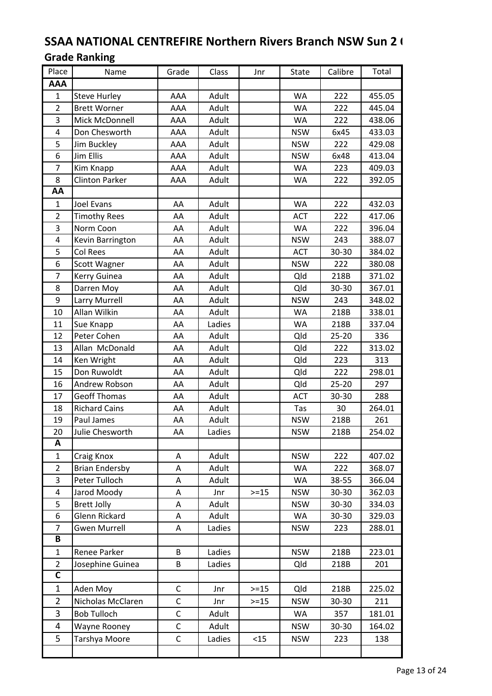# SSAA NATIONAL CENTREFIRE Northern Rivers Branch NSW Sun 2 ( Grade Ranking

| Place                   | Name                  | Grade        | Class  | Jnr    | State      | Calibre   | Total  |
|-------------------------|-----------------------|--------------|--------|--------|------------|-----------|--------|
| AAA                     |                       |              |        |        |            |           |        |
| $\mathbf{1}$            | <b>Steve Hurley</b>   | AAA          | Adult  |        | WA         | 222       | 455.05 |
| $\overline{2}$          | <b>Brett Worner</b>   | AAA          | Adult  |        | <b>WA</b>  | 222       | 445.04 |
| 3                       | Mick McDonnell        | AAA          | Adult  |        | WA         | 222       | 438.06 |
| 4                       | Don Chesworth         | AAA          | Adult  |        | <b>NSW</b> | 6x45      | 433.03 |
| 5                       | Jim Buckley           | AAA          | Adult  |        | <b>NSW</b> | 222       | 429.08 |
| 6                       | Jim Ellis             | AAA          | Adult  |        | <b>NSW</b> | 6x48      | 413.04 |
| $\overline{7}$          | Kim Knapp             | AAA          | Adult  |        | <b>WA</b>  | 223       | 409.03 |
| 8                       | <b>Clinton Parker</b> | AAA          | Adult  |        | WA         | 222       | 392.05 |
| AA                      |                       |              |        |        |            |           |        |
| $\mathbf{1}$            | Joel Evans            | AA           | Adult  |        | <b>WA</b>  | 222       | 432.03 |
| $\overline{2}$          | <b>Timothy Rees</b>   | AA           | Adult  |        | <b>ACT</b> | 222       | 417.06 |
| 3                       | Norm Coon             | AA           | Adult  |        | <b>WA</b>  | 222       | 396.04 |
| 4                       | Kevin Barrington      | AA           | Adult  |        | <b>NSW</b> | 243       | 388.07 |
| 5                       | Col Rees              | AA           | Adult  |        | ACT        | 30-30     | 384.02 |
| 6                       | <b>Scott Wagner</b>   | AA           | Adult  |        | <b>NSW</b> | 222       | 380.08 |
| $\overline{7}$          | Kerry Guinea          | AA           | Adult  |        | Qld        | 218B      | 371.02 |
| 8                       | Darren Moy            | AA           | Adult  |        | Qld        | 30-30     | 367.01 |
| 9                       | Larry Murrell         | AA           | Adult  |        | <b>NSW</b> | 243       | 348.02 |
| 10                      | Allan Wilkin          | AA           | Adult  |        | <b>WA</b>  | 218B      | 338.01 |
| 11                      | Sue Knapp             | AA           | Ladies |        | WA         | 218B      | 337.04 |
| 12                      | Peter Cohen           | AA           | Adult  |        | Qld        | $25 - 20$ | 336    |
| 13                      | Allan McDonald        | AA           | Adult  |        | Qld        | 222       | 313.02 |
| 14                      | Ken Wright            | AA           | Adult  |        | Qld        | 223       | 313    |
| 15                      | Don Ruwoldt           | AA           | Adult  |        | Qld        | 222       | 298.01 |
| 16                      | Andrew Robson         | AA           | Adult  |        | Qld        | $25 - 20$ | 297    |
| 17                      | <b>Geoff Thomas</b>   | AA           | Adult  |        | <b>ACT</b> | 30-30     | 288    |
| 18                      | <b>Richard Cains</b>  | AA           | Adult  |        | Tas        | 30        | 264.01 |
| 19                      | Paul James            | AA           | Adult  |        | <b>NSW</b> | 218B      | 261    |
| 20                      | Julie Chesworth       | ${\sf AA}$   | Ladies |        | <b>NSW</b> | 218B      | 254.02 |
| A                       |                       |              |        |        |            |           |        |
| $\mathbf{1}$            | Craig Knox            | A            | Adult  |        | <b>NSW</b> | 222       | 407.02 |
| $\overline{2}$          | <b>Brian Endersby</b> | A            | Adult  |        | WA         | 222       | 368.07 |
| 3                       | Peter Tulloch         | Α            | Adult  |        | <b>WA</b>  | 38-55     | 366.04 |
| $\pmb{4}$               | Jarod Moody           | Α            | Jnr    | $>=15$ | <b>NSW</b> | 30-30     | 362.03 |
| 5                       | <b>Brett Jolly</b>    | Α            | Adult  |        | <b>NSW</b> | 30-30     | 334.03 |
| 6                       | Glenn Rickard         | Α            | Adult  |        | WA         | 30-30     | 329.03 |
| $\overline{7}$          | <b>Gwen Murrell</b>   | A            | Ladies |        | <b>NSW</b> | 223       | 288.01 |
| B                       |                       |              |        |        |            |           |        |
| $\mathbf{1}$            | Renee Parker          | B            | Ladies |        | <b>NSW</b> | 218B      | 223.01 |
| $\overline{2}$          | Josephine Guinea      | B            | Ladies |        | Qld        | 218B      | 201    |
| $\overline{\mathsf{c}}$ |                       |              |        |        |            |           |        |
| $\mathbf{1}$            | Aden Moy              | C            | Jnr    | $>=15$ | Qld        | 218B      | 225.02 |
| $\overline{2}$          | Nicholas McClaren     | $\mathsf C$  | Jnr    | $>=15$ | <b>NSW</b> | 30-30     | 211    |
| 3                       | <b>Bob Tulloch</b>    | $\mathsf C$  | Adult  |        | WA         | 357       | 181.01 |
| 4                       | Wayne Rooney          | $\mathsf C$  | Adult  |        | <b>NSW</b> | 30-30     | 164.02 |
| 5                       | Tarshya Moore         | $\mathsf{C}$ | Ladies | < 15   | <b>NSW</b> | 223       | 138    |
|                         |                       |              |        |        |            |           |        |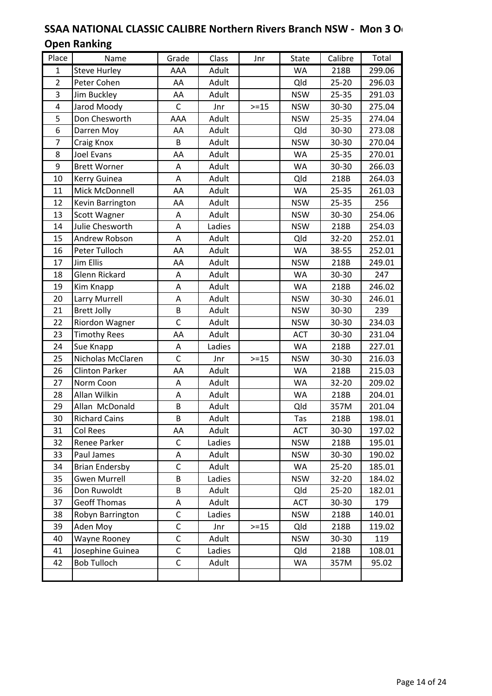#### SSAA NATIONAL CLASSIC CALIBRE Northern Rivers Branch NSW - Mon 3 O Open Ranking

| Place                   | Name                  | Grade        | Class  | Jnr    | <b>State</b> | Calibre   | Total  |
|-------------------------|-----------------------|--------------|--------|--------|--------------|-----------|--------|
| $\mathbf{1}$            | <b>Steve Hurley</b>   | AAA          | Adult  |        | <b>WA</b>    | 218B      | 299.06 |
| $\overline{2}$          | Peter Cohen           | AA           | Adult  |        | Qld          | $25 - 20$ | 296.03 |
| 3                       | Jim Buckley           | AA           | Adult  |        | <b>NSW</b>   | $25 - 35$ | 291.03 |
| $\overline{\mathbf{4}}$ | Jarod Moody           | C            | Jnr    | $>=15$ | <b>NSW</b>   | 30-30     | 275.04 |
| 5                       | Don Chesworth         | AAA          | Adult  |        | <b>NSW</b>   | $25 - 35$ | 274.04 |
| 6                       | Darren Moy            | AA           | Adult  |        | Qld          | 30-30     | 273.08 |
| $\overline{7}$          | Craig Knox            | B            | Adult  |        | <b>NSW</b>   | 30-30     | 270.04 |
| 8                       | Joel Evans            | AA           | Adult  |        | <b>WA</b>    | $25 - 35$ | 270.01 |
| 9                       | <b>Brett Worner</b>   | Α            | Adult  |        | <b>WA</b>    | 30-30     | 266.03 |
| 10                      | Kerry Guinea          | A            | Adult  |        | Qld          | 218B      | 264.03 |
| 11                      | Mick McDonnell        | AA           | Adult  |        | <b>WA</b>    | 25-35     | 261.03 |
| 12                      | Kevin Barrington      | AA           | Adult  |        | <b>NSW</b>   | 25-35     | 256    |
| 13                      | <b>Scott Wagner</b>   | Α            | Adult  |        | <b>NSW</b>   | 30-30     | 254.06 |
| 14                      | Julie Chesworth       | Α            | Ladies |        | <b>NSW</b>   | 218B      | 254.03 |
| 15                      | Andrew Robson         | Α            | Adult  |        | Qld          | 32-20     | 252.01 |
| 16                      | Peter Tulloch         | AA           | Adult  |        | <b>WA</b>    | 38-55     | 252.01 |
| 17                      | Jim Ellis             | AA           | Adult  |        | <b>NSW</b>   | 218B      | 249.01 |
| 18                      | Glenn Rickard         | Α            | Adult  |        | WA           | 30-30     | 247    |
| 19                      | Kim Knapp             | Α            | Adult  |        | <b>WA</b>    | 218B      | 246.02 |
| 20                      | Larry Murrell         | А            | Adult  |        | <b>NSW</b>   | 30-30     | 246.01 |
| 21                      | <b>Brett Jolly</b>    | B            | Adult  |        | <b>NSW</b>   | 30-30     | 239    |
| 22                      | Riordon Wagner        | $\mathsf{C}$ | Adult  |        | <b>NSW</b>   | 30-30     | 234.03 |
| 23                      | <b>Timothy Rees</b>   | AA           | Adult  |        | <b>ACT</b>   | 30-30     | 231.04 |
| 24                      | Sue Knapp             | Α            | Ladies |        | <b>WA</b>    | 218B      | 227.01 |
| 25                      | Nicholas McClaren     | $\mathsf{C}$ | Jnr    | $>=15$ | <b>NSW</b>   | 30-30     | 216.03 |
| 26                      | <b>Clinton Parker</b> | AA           | Adult  |        | <b>WA</b>    | 218B      | 215.03 |
| 27                      | Norm Coon             | Α            | Adult  |        | <b>WA</b>    | 32-20     | 209.02 |
| 28                      | Allan Wilkin          | Α            | Adult  |        | <b>WA</b>    | 218B      | 204.01 |
| 29                      | Allan McDonald        | B            | Adult  |        | Qld          | 357M      | 201.04 |
| 30                      | <b>Richard Cains</b>  | B            | Adult  |        | Tas          | 218B      | 198.01 |
| 31                      | Col Rees              | AA           | Adult  |        | <b>ACT</b>   | 30-30     | 197.02 |
| 32                      | Renee Parker          | C            | Ladies |        | <b>NSW</b>   | 218B      | 195.01 |
| 33                      | Paul James            | Α            | Adult  |        | <b>NSW</b>   | 30-30     | 190.02 |
| 34                      | <b>Brian Endersby</b> | $\mathsf C$  | Adult  |        | WA           | $25 - 20$ | 185.01 |
| 35                      | <b>Gwen Murrell</b>   | B            | Ladies |        | <b>NSW</b>   | 32-20     | 184.02 |
| 36                      | Don Ruwoldt           | B            | Adult  |        | Qld          | $25 - 20$ | 182.01 |
| 37                      | <b>Geoff Thomas</b>   | Α            | Adult  |        | <b>ACT</b>   | 30-30     | 179    |
| 38                      | Robyn Barrington      | C            | Ladies |        | <b>NSW</b>   | 218B      | 140.01 |
| 39                      | Aden Moy              | C            | Jnr    | $>=15$ | Qld          | 218B      | 119.02 |
| 40                      | Wayne Rooney          | $\mathsf C$  | Adult  |        | <b>NSW</b>   | 30-30     | 119    |
| 41                      | Josephine Guinea      | $\mathsf C$  | Ladies |        | Qld          | 218B      | 108.01 |
| 42                      | <b>Bob Tulloch</b>    | C            | Adult  |        | WA           | 357M      | 95.02  |
|                         |                       |              |        |        |              |           |        |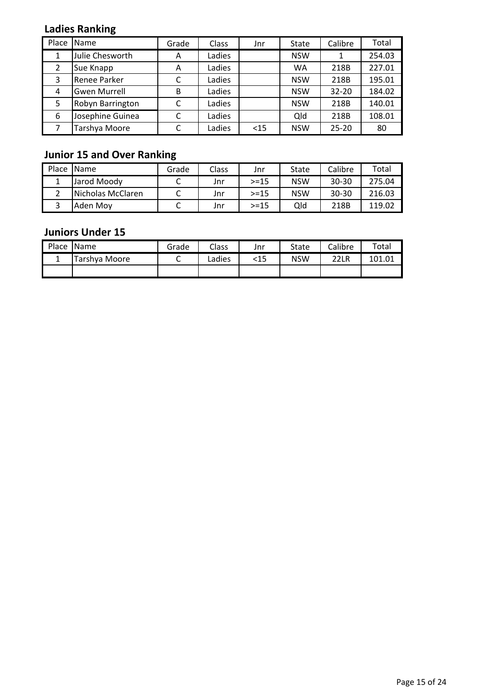# Ladies Ranking

| Place | <b>Name</b>         | Grade | Class  | Jnr  | State      | Calibre   | Total  |
|-------|---------------------|-------|--------|------|------------|-----------|--------|
| 1     | Julie Chesworth     | A     | Ladies |      | <b>NSW</b> |           | 254.03 |
| 2     | Sue Knapp           | A     | Ladies |      | <b>WA</b>  | 218B      | 227.01 |
| 3     | Renee Parker        | C     | Ladies |      | <b>NSW</b> | 218B      | 195.01 |
| 4     | <b>Gwen Murrell</b> | B     | Ladies |      | <b>NSW</b> | $32 - 20$ | 184.02 |
| 5     | Robyn Barrington    | C     | Ladies |      | <b>NSW</b> | 218B      | 140.01 |
| 6     | Josephine Guinea    | C     | Ladies |      | Qld        | 218B      | 108.01 |
|       | Tarshya Moore       | C     | Ladies | $15$ | <b>NSW</b> | $25 - 20$ | 80     |

# Junior 15 and Over Ranking

| Place | <b>Name</b>       | Grade | Class | Jnr      | State      | Calibre   | Total  |
|-------|-------------------|-------|-------|----------|------------|-----------|--------|
|       | Jarod Moody       |       | Jnr   | $> = 15$ | <b>NSW</b> | $30 - 30$ | 275.04 |
|       | Nicholas McClaren |       | Jnr   | $> = 15$ | <b>NSW</b> | 30-30     | 216.03 |
|       | Aden Mov          |       | Jnr   | $> = 15$ | Qld        | 218B      | 119.02 |

#### Juniors Under 15

| Place Name    | Grade | Class  | Jnr | State      | Calibre | Total  |
|---------------|-------|--------|-----|------------|---------|--------|
| Tarshya Moore |       | Ladies | <15 | <b>NSW</b> | 22LR    | 101.01 |
|               |       |        |     |            |         |        |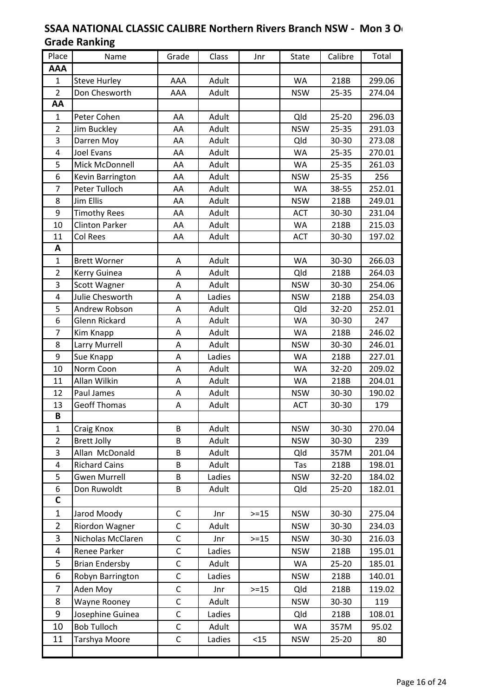#### SSAA NATIONAL CLASSIC CALIBRE Northern Rivers Branch NSW - Mon 3 O Grade Ranking

| Place          | Name                  | Grade       | Class  | Jnr    | State      | Calibre   | Total  |
|----------------|-----------------------|-------------|--------|--------|------------|-----------|--------|
| <b>AAA</b>     |                       |             |        |        |            |           |        |
| $\mathbf{1}$   | <b>Steve Hurley</b>   | AAA         | Adult  |        | <b>WA</b>  | 218B      | 299.06 |
| $\overline{2}$ | Don Chesworth         | AAA         | Adult  |        | <b>NSW</b> | 25-35     | 274.04 |
| AA             |                       |             |        |        |            |           |        |
| $\mathbf{1}$   | Peter Cohen           | AA          | Adult  |        | Qld        | $25 - 20$ | 296.03 |
| $\overline{2}$ | Jim Buckley           | AA          | Adult  |        | <b>NSW</b> | 25-35     | 291.03 |
| 3              | Darren Moy            | AA          | Adult  |        | Qld        | 30-30     | 273.08 |
| $\overline{4}$ | Joel Evans            | AA          | Adult  |        | <b>WA</b>  | $25 - 35$ | 270.01 |
| 5              | Mick McDonnell        | AA          | Adult  |        | WA         | 25-35     | 261.03 |
| 6              | Kevin Barrington      | AA          | Adult  |        | <b>NSW</b> | 25-35     | 256    |
| $\overline{7}$ | Peter Tulloch         | AA          | Adult  |        | WA         | 38-55     | 252.01 |
| 8              | <b>Jim Ellis</b>      | AA          | Adult  |        | <b>NSW</b> | 218B      | 249.01 |
| 9              | <b>Timothy Rees</b>   | AA          | Adult  |        | ACT        | 30-30     | 231.04 |
| 10             | <b>Clinton Parker</b> | AA          | Adult  |        | <b>WA</b>  | 218B      | 215.03 |
| 11             | Col Rees              | AA          | Adult  |        | <b>ACT</b> | 30-30     | 197.02 |
| A              |                       |             |        |        |            |           |        |
| $\mathbf{1}$   | <b>Brett Worner</b>   | A           | Adult  |        | <b>WA</b>  | 30-30     | 266.03 |
| $\overline{2}$ | Kerry Guinea          | Α           | Adult  |        | Qld        | 218B      | 264.03 |
| 3              | Scott Wagner          | Α           | Adult  |        | <b>NSW</b> | 30-30     | 254.06 |
| 4              | Julie Chesworth       | Α           | Ladies |        | <b>NSW</b> | 218B      | 254.03 |
| 5              | Andrew Robson         | Α           | Adult  |        | Qld        | 32-20     | 252.01 |
| 6              | Glenn Rickard         | Α           | Adult  |        | <b>WA</b>  | 30-30     | 247    |
| 7              | Kim Knapp             | Α           | Adult  |        | WA         | 218B      | 246.02 |
| 8              | Larry Murrell         | Α           | Adult  |        | <b>NSW</b> | 30-30     | 246.01 |
| 9              | Sue Knapp             | Α           | Ladies |        | <b>WA</b>  | 218B      | 227.01 |
| 10             | Norm Coon             | Α           | Adult  |        | <b>WA</b>  | 32-20     | 209.02 |
| 11             | Allan Wilkin          | A           | Adult  |        | WA         | 218B      | 204.01 |
| 12             | Paul James            | Α           | Adult  |        | <b>NSW</b> | 30-30     | 190.02 |
| 13             | <b>Geoff Thomas</b>   | A           | Adult  |        | <b>ACT</b> | 30-30     | 179    |
| B              |                       |             |        |        |            |           |        |
| $\mathbf{1}$   | Craig Knox            | B           | Adult  |        | <b>NSW</b> | 30-30     | 270.04 |
| $\overline{2}$ | <b>Brett Jolly</b>    | B           | Adult  |        | <b>NSW</b> | 30-30     | 239    |
| 3              | Allan McDonald        | B           | Adult  |        | Qld        | 357M      | 201.04 |
| 4              | <b>Richard Cains</b>  | B           | Adult  |        | Tas        | 218B      | 198.01 |
| 5              | <b>Gwen Murrell</b>   | B           | Ladies |        | <b>NSW</b> | 32-20     | 184.02 |
| 6              | Don Ruwoldt           | B           | Adult  |        | Qld        | $25 - 20$ | 182.01 |
| $\mathbf C$    |                       |             |        |        |            |           |        |
| $\mathbf{1}$   | Jarod Moody           | $\mathsf C$ | Jnr    | $>=15$ | <b>NSW</b> | 30-30     | 275.04 |
| $\overline{2}$ | Riordon Wagner        | $\mathsf C$ | Adult  |        | <b>NSW</b> | 30-30     | 234.03 |
| 3              | Nicholas McClaren     | C           | Jnr    | $>=15$ | <b>NSW</b> | 30-30     | 216.03 |
| 4              | Renee Parker          | С           | Ladies |        | <b>NSW</b> | 218B      | 195.01 |
| 5              | <b>Brian Endersby</b> | $\mathsf C$ | Adult  |        | WA         | $25 - 20$ | 185.01 |
| 6              | Robyn Barrington      | $\mathsf C$ | Ladies |        | <b>NSW</b> | 218B      | 140.01 |
| 7              | Aden Moy              | C           | Jnr    | $>=15$ | Qld        | 218B      | 119.02 |
| 8              | Wayne Rooney          | С           | Adult  |        | <b>NSW</b> | 30-30     | 119    |
| 9              | Josephine Guinea      | $\mathsf C$ | Ladies |        | Qld        | 218B      | 108.01 |
| 10             | <b>Bob Tulloch</b>    | $\mathsf C$ | Adult  |        | WA         | 357M      | 95.02  |
| 11             | Tarshya Moore         | $\mathsf C$ | Ladies | $<$ 15 | <b>NSW</b> | $25 - 20$ | 80     |
|                |                       |             |        |        |            |           |        |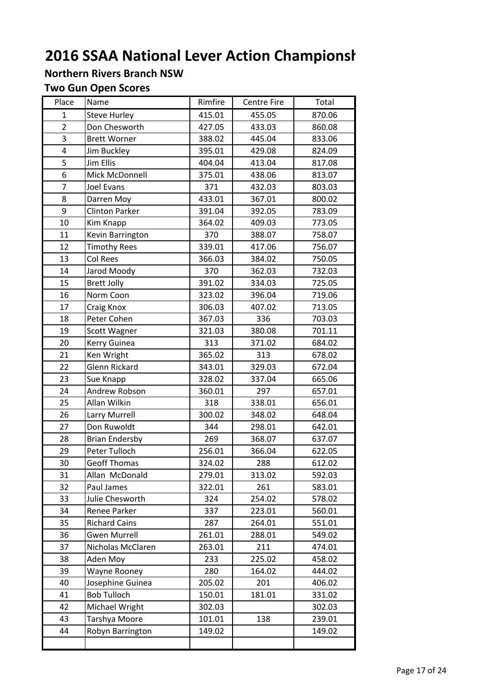#### Northern Rivers Branch NSW

#### Two Gun Open Scores

| Place          | Name                  | Rimfire | <b>Centre Fire</b> | Total  |
|----------------|-----------------------|---------|--------------------|--------|
| $\mathbf{1}$   | <b>Steve Hurley</b>   | 415.01  | 455.05             | 870.06 |
| $\overline{2}$ | Don Chesworth         | 427.05  | 433.03             | 860.08 |
| 3              | <b>Brett Worner</b>   | 388.02  | 445.04             | 833.06 |
| 4              | Jim Buckley           | 395.01  | 429.08             | 824.09 |
| 5              | <b>Jim Ellis</b>      | 404.04  | 413.04             | 817.08 |
| 6              | Mick McDonnell        | 375.01  | 438.06             | 813.07 |
| $\overline{7}$ | Joel Evans            | 371     | 432.03             | 803.03 |
| 8              | Darren Moy            | 433.01  | 367.01             | 800.02 |
| 9              | <b>Clinton Parker</b> | 391.04  | 392.05             | 783.09 |
| 10             | Kim Knapp             | 364.02  | 409.03             | 773.05 |
| 11             | Kevin Barrington      | 370     | 388.07             | 758.07 |
| 12             | <b>Timothy Rees</b>   | 339.01  | 417.06             | 756.07 |
| 13             | Col Rees              | 366.03  | 384.02             | 750.05 |
| 14             | Jarod Moody           | 370     | 362.03             | 732.03 |
| 15             | <b>Brett Jolly</b>    | 391.02  | 334.03             | 725.05 |
| 16             | Norm Coon             | 323.02  | 396.04             | 719.06 |
| 17             | Craig Knox            | 306.03  | 407.02             | 713.05 |
| 18             | Peter Cohen           | 367.03  | 336                | 703.03 |
| 19             | Scott Wagner          | 321.03  | 380.08             | 701.11 |
| 20             | Kerry Guinea          | 313     | 371.02             | 684.02 |
| 21             | Ken Wright            | 365.02  | 313                | 678.02 |
| 22             | <b>Glenn Rickard</b>  | 343.01  | 329.03             | 672.04 |
| 23             | Sue Knapp             | 328.02  | 337.04             | 665.06 |
| 24             | Andrew Robson         | 360.01  | 297                | 657.01 |
| 25             | Allan Wilkin          | 318     | 338.01             | 656.01 |
| 26             | Larry Murrell         | 300.02  | 348.02             | 648.04 |
| 27             | Don Ruwoldt           | 344     | 298.01             | 642.01 |
| 28             | <b>Brian Endersby</b> | 269     | 368.07             | 637.07 |
| 29             | Peter Tulloch         | 256.01  | 366.04             | 622.05 |
| 30             | <b>Geoff Thomas</b>   | 324.02  | 288                | 612.02 |
| 31             | Allan McDonald        | 279.01  | 313.02             | 592.03 |
| 32             | Paul James            | 322.01  | 261                | 583.01 |
| 33             | Julie Chesworth       | 324     | 254.02             | 578.02 |
| 34             | Renee Parker          | 337     | 223.01             | 560.01 |
| 35             | <b>Richard Cains</b>  | 287     | 264.01             | 551.01 |
| 36             | <b>Gwen Murrell</b>   | 261.01  | 288.01             | 549.02 |
| 37             | Nicholas McClaren     | 263.01  | 211                | 474.01 |
| 38             | Aden Moy              | 233     | 225.02             | 458.02 |
| 39             | Wayne Rooney          | 280     | 164.02             | 444.02 |
| 40             | Josephine Guinea      | 205.02  | 201                | 406.02 |
| 41             | <b>Bob Tulloch</b>    | 150.01  | 181.01             | 331.02 |
| 42             | Michael Wright        | 302.03  |                    | 302.03 |
| 43             | Tarshya Moore         | 101.01  | 138                | 239.01 |
| 44             | Robyn Barrington      | 149.02  |                    | 149.02 |
|                |                       |         |                    |        |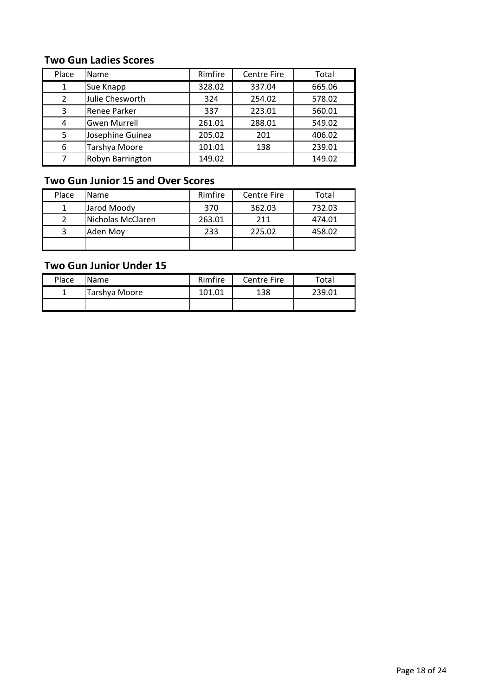#### Two Gun Ladies Scores

| Place          | Name                | Rimfire | <b>Centre Fire</b> | Total  |
|----------------|---------------------|---------|--------------------|--------|
| 1              | Sue Knapp           | 328.02  | 337.04             | 665.06 |
| $\overline{2}$ | Julie Chesworth     | 324     | 254.02             | 578.02 |
| 3              | Renee Parker        | 337     | 223.01             | 560.01 |
| 4              | <b>Gwen Murrell</b> | 261.01  | 288.01             | 549.02 |
| 5              | Josephine Guinea    | 205.02  | 201                | 406.02 |
| 6              | Tarshya Moore       | 101.01  | 138                | 239.01 |
|                | Robyn Barrington    | 149.02  |                    | 149.02 |

#### Two Gun Junior 15 and Over Scores

| Place | <b>Name</b>       | Rimfire | <b>Centre Fire</b> | Total  |
|-------|-------------------|---------|--------------------|--------|
|       | Jarod Moody       | 370     | 362.03             | 732.03 |
|       | Nicholas McClaren | 263.01  | 211                | 474.01 |
|       | Aden Moy          | 233     | 225.02             | 458.02 |
|       |                   |         |                    |        |

#### Two Gun Junior Under 15

| Place | <b>Name</b>   | Rimfire | Centre Fire | Total  |
|-------|---------------|---------|-------------|--------|
| ÷     | Tarshya Moore | 101.01  | 138         | 239 N. |
|       |               |         |             |        |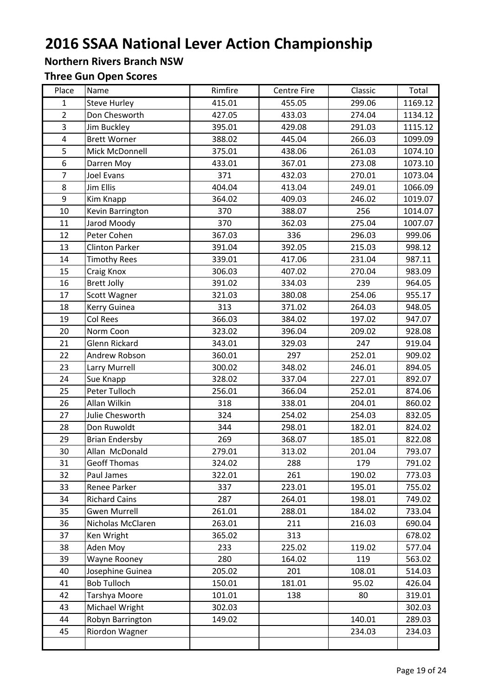#### Northern Rivers Branch NSW

# Three Gun Open Scores

| Place          | Name                  | Rimfire | <b>Centre Fire</b> | Classic | Total   |
|----------------|-----------------------|---------|--------------------|---------|---------|
| $\mathbf{1}$   | <b>Steve Hurley</b>   | 415.01  | 455.05             | 299.06  | 1169.12 |
| $\overline{2}$ | Don Chesworth         | 427.05  | 433.03             | 274.04  | 1134.12 |
| $\overline{3}$ | Jim Buckley           | 395.01  | 429.08             | 291.03  | 1115.12 |
| $\overline{4}$ | <b>Brett Worner</b>   | 388.02  | 445.04             | 266.03  | 1099.09 |
| 5              | Mick McDonnell        | 375.01  | 438.06             | 261.03  | 1074.10 |
| 6              | Darren Moy            | 433.01  | 367.01             | 273.08  | 1073.10 |
| $\overline{7}$ | Joel Evans            | 371     | 432.03             | 270.01  | 1073.04 |
| 8              | Jim Ellis             | 404.04  | 413.04             | 249.01  | 1066.09 |
| 9              | Kim Knapp             | 364.02  | 409.03             | 246.02  | 1019.07 |
| 10             | Kevin Barrington      | 370     | 388.07             | 256     | 1014.07 |
| 11             | Jarod Moody           | 370     | 362.03             | 275.04  | 1007.07 |
| 12             | Peter Cohen           | 367.03  | 336                | 296.03  | 999.06  |
| 13             | <b>Clinton Parker</b> | 391.04  | 392.05             | 215.03  | 998.12  |
| 14             | <b>Timothy Rees</b>   | 339.01  | 417.06             | 231.04  | 987.11  |
| 15             | Craig Knox            | 306.03  | 407.02             | 270.04  | 983.09  |
| 16             | <b>Brett Jolly</b>    | 391.02  | 334.03             | 239     | 964.05  |
| 17             | Scott Wagner          | 321.03  | 380.08             | 254.06  | 955.17  |
| 18             | Kerry Guinea          | 313     | 371.02             | 264.03  | 948.05  |
| 19             | Col Rees              | 366.03  | 384.02             | 197.02  | 947.07  |
| 20             | Norm Coon             | 323.02  | 396.04             | 209.02  | 928.08  |
| 21             | <b>Glenn Rickard</b>  | 343.01  | 329.03             | 247     | 919.04  |
| 22             | Andrew Robson         | 360.01  | 297                | 252.01  | 909.02  |
| 23             | Larry Murrell         | 300.02  | 348.02             | 246.01  | 894.05  |
| 24             | Sue Knapp             | 328.02  | 337.04             | 227.01  | 892.07  |
| 25             | Peter Tulloch         | 256.01  | 366.04             | 252.01  | 874.06  |
| 26             | Allan Wilkin          | 318     | 338.01             | 204.01  | 860.02  |
| 27             | Julie Chesworth       | 324     | 254.02             | 254.03  | 832.05  |
| 28             | Don Ruwoldt           | 344     | 298.01             | 182.01  | 824.02  |
| 29             | <b>Brian Endersby</b> | 269     | 368.07             | 185.01  | 822.08  |
| 30             | Allan McDonald        | 279.01  | 313.02             | 201.04  | 793.07  |
| 31             | <b>Geoff Thomas</b>   | 324.02  | 288                | 179     | 791.02  |
| 32             | Paul James            | 322.01  | 261                | 190.02  | 773.03  |
| 33             | Renee Parker          | 337     | 223.01             | 195.01  | 755.02  |
| 34             | <b>Richard Cains</b>  | 287     | 264.01             | 198.01  | 749.02  |
| 35             | <b>Gwen Murrell</b>   | 261.01  | 288.01             | 184.02  | 733.04  |
| 36             | Nicholas McClaren     | 263.01  | 211                | 216.03  | 690.04  |
| 37             | Ken Wright            | 365.02  | 313                |         | 678.02  |
| 38             | Aden Moy              | 233     | 225.02             | 119.02  | 577.04  |
| 39             | <b>Wayne Rooney</b>   | 280     | 164.02             | 119     | 563.02  |
| 40             | Josephine Guinea      | 205.02  | 201                | 108.01  | 514.03  |
| 41             | <b>Bob Tulloch</b>    | 150.01  | 181.01             | 95.02   | 426.04  |
| 42             | Tarshya Moore         | 101.01  | 138                | 80      | 319.01  |
| 43             | Michael Wright        | 302.03  |                    |         | 302.03  |
| 44             | Robyn Barrington      | 149.02  |                    | 140.01  | 289.03  |
| 45             | Riordon Wagner        |         |                    | 234.03  | 234.03  |
|                |                       |         |                    |         |         |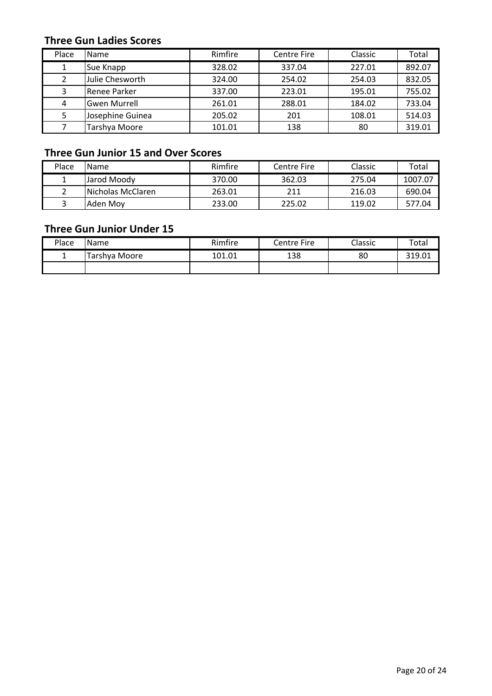#### Three Gun Ladies Scores

| Place | Name                | Rimfire | <b>Centre Fire</b> | Classic | Total  |
|-------|---------------------|---------|--------------------|---------|--------|
|       | Sue Knapp           | 328.02  | 337.04             | 227.01  | 892.07 |
| 2     | Julie Chesworth     | 324.00  | 254.02             | 254.03  | 832.05 |
| 3     | Renee Parker        | 337.00  | 223.01             | 195.01  | 755.02 |
| 4     | <b>Gwen Murrell</b> | 261.01  | 288.01             | 184.02  | 733.04 |
| 5.    | Josephine Guinea    | 205.02  | 201                | 108.01  | 514.03 |
|       | Tarshya Moore       | 101.01  | 138                | 80      | 319.01 |

#### Three Gun Junior 15 and Over Scores

| Place | <b>IName</b>              | Rimfire | Centre Fire | Classic | Total   |
|-------|---------------------------|---------|-------------|---------|---------|
|       | Jarod Moody               | 370.00  | 362.03      | 275.04  | 1007.07 |
|       | <b>INicholas McClaren</b> | 263.01  | 211         | 216.03  | 690.04  |
|       | Aden Mov                  | 233.00  | 225.02      | 119.02  | 577.04  |

#### Three Gun Junior Under 15

| Place | <b>Name</b>   | Rimfire | Centre Fire | Classic | Total  |
|-------|---------------|---------|-------------|---------|--------|
|       | Tarshya Moore | 101.01  | 138         | 80      | 319.01 |
|       |               |         |             |         |        |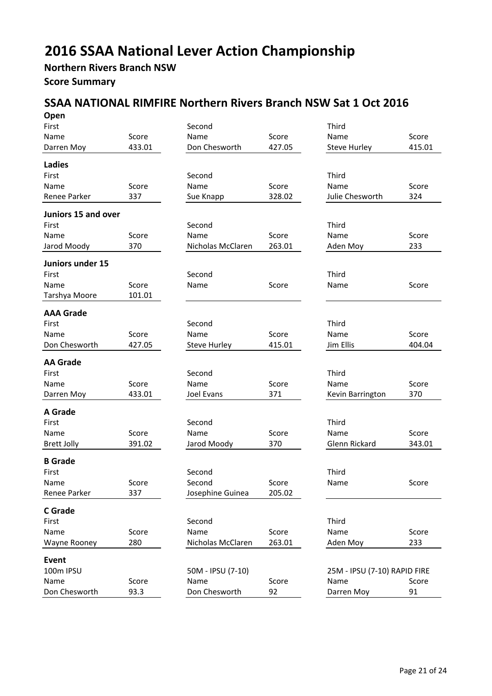#### Northern Rivers Branch NSW Score Summary

#### SSAA NATIONAL RIMFIRE Northern Rivers Branch NSW Sat 1 Oct 2016

| Open                |        |                     |        |                              |        |
|---------------------|--------|---------------------|--------|------------------------------|--------|
| First               |        | Second              |        | Third                        |        |
| Name                | Score  | Name                | Score  | Name                         | Score  |
| Darren Moy          | 433.01 | Don Chesworth       | 427.05 | <b>Steve Hurley</b>          | 415.01 |
| <b>Ladies</b>       |        |                     |        |                              |        |
| First               |        | Second              |        | Third                        |        |
| Name                | Score  | Name                | Score  | Name                         | Score  |
| Renee Parker        | 337    | Sue Knapp           | 328.02 | Julie Chesworth              | 324    |
| Juniors 15 and over |        |                     |        |                              |        |
| First               |        | Second              |        | Third                        |        |
| Name                | Score  | Name                | Score  | Name                         | Score  |
| Jarod Moody         | 370    | Nicholas McClaren   | 263.01 | Aden Moy                     | 233    |
|                     |        |                     |        |                              |        |
| Juniors under 15    |        |                     |        |                              |        |
| First               |        | Second              |        | Third                        |        |
| Name                | Score  | Name                | Score  | Name                         | Score  |
| Tarshya Moore       | 101.01 |                     |        |                              |        |
| <b>AAA Grade</b>    |        |                     |        |                              |        |
| First               |        | Second              |        | Third                        |        |
| Name                | Score  | Name                | Score  | Name                         | Score  |
| Don Chesworth       | 427.05 | <b>Steve Hurley</b> | 415.01 | Jim Ellis                    | 404.04 |
|                     |        |                     |        |                              |        |
| <b>AA Grade</b>     |        |                     |        |                              |        |
| First               |        | Second              |        | Third                        |        |
| Name                | Score  | Name                | Score  | Name                         | Score  |
| Darren Moy          | 433.01 | Joel Evans          | 371    | Kevin Barrington             | 370    |
| A Grade             |        |                     |        |                              |        |
| First               |        | Second              |        | Third                        |        |
| Name                | Score  | Name                | Score  | Name                         | Score  |
| <b>Brett Jolly</b>  | 391.02 | Jarod Moody         | 370    | Glenn Rickard                | 343.01 |
| <b>B</b> Grade      |        |                     |        |                              |        |
| First               |        | Second              |        | Third                        |        |
| Name                | Score  | Second              | Score  | Name                         | Score  |
| Renee Parker        | 337    | Josephine Guinea    | 205.02 |                              |        |
|                     |        |                     |        |                              |        |
| <b>C</b> Grade      |        |                     |        |                              |        |
| First               |        | Second              |        | Third                        |        |
| Name                | Score  | Name                | Score  | Name                         | Score  |
| Wayne Rooney        | 280    | Nicholas McClaren   | 263.01 | Aden Moy                     | 233    |
| <b>Event</b>        |        |                     |        |                              |        |
| 100m IPSU           |        | 50M - IPSU (7-10)   |        | 25M - IPSU (7-10) RAPID FIRE |        |
| Name                | Score  | Name                | Score  | Name                         | Score  |
| Don Chesworth       | 93.3   | Don Chesworth       | 92     | Darren Moy                   | 91     |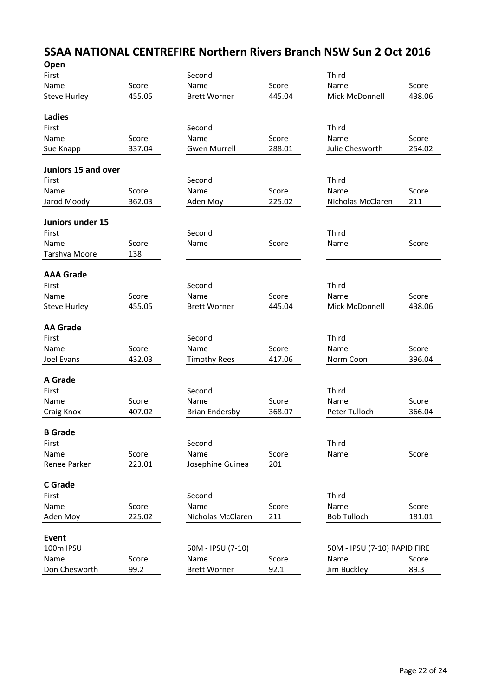#### SSAA NATIONAL CENTREFIRE Northern Rivers Branch NSW Sun 2 Oct 2016  $\sim$

| <b>Open</b>         |        |                       |        |                              |        |
|---------------------|--------|-----------------------|--------|------------------------------|--------|
| First               |        | Second                |        | Third                        |        |
| Name                | Score  | Name                  | Score  | Name                         | Score  |
| <b>Steve Hurley</b> | 455.05 | <b>Brett Worner</b>   | 445.04 | Mick McDonnell               | 438.06 |
|                     |        |                       |        |                              |        |
| <b>Ladies</b>       |        |                       |        |                              |        |
| First               |        | Second                |        | Third                        |        |
| Name                | Score  | Name                  | Score  | Name                         | Score  |
| Sue Knapp           | 337.04 | <b>Gwen Murrell</b>   | 288.01 | Julie Chesworth              | 254.02 |
|                     |        |                       |        |                              |        |
| Juniors 15 and over |        |                       |        |                              |        |
| First               |        | Second                |        | Third                        |        |
| Name                | Score  | Name                  | Score  | Name                         | Score  |
| Jarod Moody         | 362.03 | Aden Moy              | 225.02 | Nicholas McClaren            | 211    |
|                     |        |                       |        |                              |        |
| Juniors under 15    |        |                       |        |                              |        |
| First               |        | Second                |        | Third                        |        |
| Name                | Score  | Name                  | Score  | Name                         | Score  |
| Tarshya Moore       | 138    |                       |        |                              |        |
|                     |        |                       |        |                              |        |
| <b>AAA Grade</b>    |        |                       |        |                              |        |
| First               |        | Second                |        | Third                        |        |
| Name                | Score  | Name                  | Score  | Name                         | Score  |
| <b>Steve Hurley</b> | 455.05 | <b>Brett Worner</b>   | 445.04 | Mick McDonnell               | 438.06 |
| <b>AA Grade</b>     |        |                       |        |                              |        |
| First               |        | Second                |        | Third                        |        |
|                     |        |                       |        |                              |        |
| Name                | Score  | Name                  | Score  | Name                         | Score  |
| Joel Evans          | 432.03 | <b>Timothy Rees</b>   | 417.06 | Norm Coon                    | 396.04 |
| <b>A</b> Grade      |        |                       |        |                              |        |
| First               |        | Second                |        | Third                        |        |
| Name                | Score  | Name                  | Score  | Name                         | Score  |
|                     |        |                       | 368.07 |                              |        |
| Craig Knox          | 407.02 | <b>Brian Endersby</b> |        | Peter Tulloch                | 366.04 |
| <b>B</b> Grade      |        |                       |        |                              |        |
| First               |        | Second                |        | Third                        |        |
| Name                | Score  | Name                  | Score  | Name                         | Score  |
| Renee Parker        | 223.01 | Josephine Guinea      | 201    |                              |        |
|                     |        |                       |        |                              |        |
| <b>C</b> Grade      |        |                       |        |                              |        |
| First               |        | Second                |        | Third                        |        |
| Name                | Score  | Name                  | Score  | Name                         | Score  |
| Aden Moy            | 225.02 | Nicholas McClaren     | 211    | <b>Bob Tulloch</b>           | 181.01 |
|                     |        |                       |        |                              |        |
| <b>Event</b>        |        |                       |        |                              |        |
| 100m IPSU           |        | 50M - IPSU (7-10)     |        | 50M - IPSU (7-10) RAPID FIRE |        |
| Name                | Score  | Name                  | Score  | Name                         | Score  |
| Don Chesworth       | 99.2   | <b>Brett Worner</b>   | 92.1   | Jim Buckley                  | 89.3   |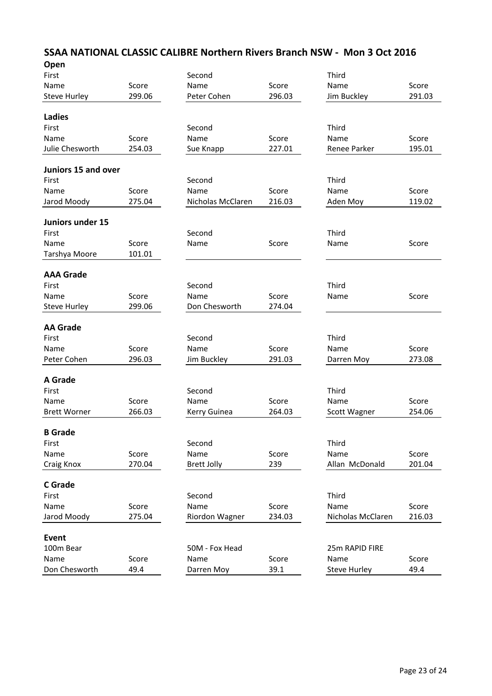| Second<br>Third<br>Score<br>Name<br>Score<br>Score<br>Name<br>299.06<br>296.03<br>291.03<br>Peter Cohen<br>Jim Buckley<br>Third<br>Second<br>Score<br>Name<br>Score<br>Score<br>Name<br>227.01<br>195.01<br>254.03<br>Sue Knapp<br>Renee Parker<br>Juniors 15 and over<br>Third<br>Second<br>Score<br>Name<br>Score<br>Score<br>Name<br>275.04<br>216.03<br>119.02<br>Nicholas McClaren<br>Aden Moy<br>Juniors under 15<br>Third<br>Second<br>Score<br>Name<br>Score<br>Score<br>Name<br>101.01<br>Tarshya Moore<br><b>AAA Grade</b><br>Second<br>Third<br>First<br>Name<br>Score<br>Name<br>Score<br>Score<br>Name<br>299.06<br>274.04<br>Don Chesworth<br><b>Steve Hurley</b><br><b>AA Grade</b><br>Third<br>Second<br>Name<br>Score<br>Name<br>Score<br>Score<br>Name<br>Peter Cohen<br>296.03<br>291.03<br>273.08<br>Jim Buckley<br>Darren Moy<br>Third<br>Second<br>Score<br>Score<br>Name<br>Name<br>Score<br>266.03<br>264.03<br>254.06<br><b>Brett Worner</b><br>Kerry Guinea<br>Scott Wagner<br><b>B</b> Grade<br>Third<br>First<br>Second<br>Name<br>Score<br>Name<br>Score<br>Score<br>Name<br>270.04<br>239<br>Allan McDonald<br>201.04<br><b>Brett Jolly</b><br><b>C</b> Grade<br>Third<br>Second<br>First<br>Score<br>Score<br>Name<br>Name<br>Name<br>Score<br>275.04<br>234.03<br>216.03<br>Riordon Wagner<br>Nicholas McClaren<br>Event<br>100m Bear<br>50M - Fox Head<br>25m RAPID FIRE<br>Name<br>Score<br>Score<br>Score<br>Name<br>Name<br>Don Chesworth<br>49.4<br>39.1<br>49.4<br>Darren Moy<br><b>Steve Hurley</b> | Open                |  |  |  |
|--------------------------------------------------------------------------------------------------------------------------------------------------------------------------------------------------------------------------------------------------------------------------------------------------------------------------------------------------------------------------------------------------------------------------------------------------------------------------------------------------------------------------------------------------------------------------------------------------------------------------------------------------------------------------------------------------------------------------------------------------------------------------------------------------------------------------------------------------------------------------------------------------------------------------------------------------------------------------------------------------------------------------------------------------------------------------------------------------------------------------------------------------------------------------------------------------------------------------------------------------------------------------------------------------------------------------------------------------------------------------------------------------------------------------------------------------------------------------------------------------------------------------------------------|---------------------|--|--|--|
|                                                                                                                                                                                                                                                                                                                                                                                                                                                                                                                                                                                                                                                                                                                                                                                                                                                                                                                                                                                                                                                                                                                                                                                                                                                                                                                                                                                                                                                                                                                                            | First               |  |  |  |
|                                                                                                                                                                                                                                                                                                                                                                                                                                                                                                                                                                                                                                                                                                                                                                                                                                                                                                                                                                                                                                                                                                                                                                                                                                                                                                                                                                                                                                                                                                                                            | Name                |  |  |  |
|                                                                                                                                                                                                                                                                                                                                                                                                                                                                                                                                                                                                                                                                                                                                                                                                                                                                                                                                                                                                                                                                                                                                                                                                                                                                                                                                                                                                                                                                                                                                            | <b>Steve Hurley</b> |  |  |  |
|                                                                                                                                                                                                                                                                                                                                                                                                                                                                                                                                                                                                                                                                                                                                                                                                                                                                                                                                                                                                                                                                                                                                                                                                                                                                                                                                                                                                                                                                                                                                            | <b>Ladies</b>       |  |  |  |
|                                                                                                                                                                                                                                                                                                                                                                                                                                                                                                                                                                                                                                                                                                                                                                                                                                                                                                                                                                                                                                                                                                                                                                                                                                                                                                                                                                                                                                                                                                                                            | First               |  |  |  |
|                                                                                                                                                                                                                                                                                                                                                                                                                                                                                                                                                                                                                                                                                                                                                                                                                                                                                                                                                                                                                                                                                                                                                                                                                                                                                                                                                                                                                                                                                                                                            | Name                |  |  |  |
|                                                                                                                                                                                                                                                                                                                                                                                                                                                                                                                                                                                                                                                                                                                                                                                                                                                                                                                                                                                                                                                                                                                                                                                                                                                                                                                                                                                                                                                                                                                                            | Julie Chesworth     |  |  |  |
|                                                                                                                                                                                                                                                                                                                                                                                                                                                                                                                                                                                                                                                                                                                                                                                                                                                                                                                                                                                                                                                                                                                                                                                                                                                                                                                                                                                                                                                                                                                                            |                     |  |  |  |
|                                                                                                                                                                                                                                                                                                                                                                                                                                                                                                                                                                                                                                                                                                                                                                                                                                                                                                                                                                                                                                                                                                                                                                                                                                                                                                                                                                                                                                                                                                                                            | First               |  |  |  |
|                                                                                                                                                                                                                                                                                                                                                                                                                                                                                                                                                                                                                                                                                                                                                                                                                                                                                                                                                                                                                                                                                                                                                                                                                                                                                                                                                                                                                                                                                                                                            | Name                |  |  |  |
|                                                                                                                                                                                                                                                                                                                                                                                                                                                                                                                                                                                                                                                                                                                                                                                                                                                                                                                                                                                                                                                                                                                                                                                                                                                                                                                                                                                                                                                                                                                                            | Jarod Moody         |  |  |  |
|                                                                                                                                                                                                                                                                                                                                                                                                                                                                                                                                                                                                                                                                                                                                                                                                                                                                                                                                                                                                                                                                                                                                                                                                                                                                                                                                                                                                                                                                                                                                            |                     |  |  |  |
|                                                                                                                                                                                                                                                                                                                                                                                                                                                                                                                                                                                                                                                                                                                                                                                                                                                                                                                                                                                                                                                                                                                                                                                                                                                                                                                                                                                                                                                                                                                                            | First               |  |  |  |
|                                                                                                                                                                                                                                                                                                                                                                                                                                                                                                                                                                                                                                                                                                                                                                                                                                                                                                                                                                                                                                                                                                                                                                                                                                                                                                                                                                                                                                                                                                                                            | Name                |  |  |  |
|                                                                                                                                                                                                                                                                                                                                                                                                                                                                                                                                                                                                                                                                                                                                                                                                                                                                                                                                                                                                                                                                                                                                                                                                                                                                                                                                                                                                                                                                                                                                            |                     |  |  |  |
|                                                                                                                                                                                                                                                                                                                                                                                                                                                                                                                                                                                                                                                                                                                                                                                                                                                                                                                                                                                                                                                                                                                                                                                                                                                                                                                                                                                                                                                                                                                                            |                     |  |  |  |
|                                                                                                                                                                                                                                                                                                                                                                                                                                                                                                                                                                                                                                                                                                                                                                                                                                                                                                                                                                                                                                                                                                                                                                                                                                                                                                                                                                                                                                                                                                                                            |                     |  |  |  |
|                                                                                                                                                                                                                                                                                                                                                                                                                                                                                                                                                                                                                                                                                                                                                                                                                                                                                                                                                                                                                                                                                                                                                                                                                                                                                                                                                                                                                                                                                                                                            |                     |  |  |  |
|                                                                                                                                                                                                                                                                                                                                                                                                                                                                                                                                                                                                                                                                                                                                                                                                                                                                                                                                                                                                                                                                                                                                                                                                                                                                                                                                                                                                                                                                                                                                            |                     |  |  |  |
|                                                                                                                                                                                                                                                                                                                                                                                                                                                                                                                                                                                                                                                                                                                                                                                                                                                                                                                                                                                                                                                                                                                                                                                                                                                                                                                                                                                                                                                                                                                                            |                     |  |  |  |
|                                                                                                                                                                                                                                                                                                                                                                                                                                                                                                                                                                                                                                                                                                                                                                                                                                                                                                                                                                                                                                                                                                                                                                                                                                                                                                                                                                                                                                                                                                                                            |                     |  |  |  |
|                                                                                                                                                                                                                                                                                                                                                                                                                                                                                                                                                                                                                                                                                                                                                                                                                                                                                                                                                                                                                                                                                                                                                                                                                                                                                                                                                                                                                                                                                                                                            | First               |  |  |  |
|                                                                                                                                                                                                                                                                                                                                                                                                                                                                                                                                                                                                                                                                                                                                                                                                                                                                                                                                                                                                                                                                                                                                                                                                                                                                                                                                                                                                                                                                                                                                            |                     |  |  |  |
|                                                                                                                                                                                                                                                                                                                                                                                                                                                                                                                                                                                                                                                                                                                                                                                                                                                                                                                                                                                                                                                                                                                                                                                                                                                                                                                                                                                                                                                                                                                                            |                     |  |  |  |
|                                                                                                                                                                                                                                                                                                                                                                                                                                                                                                                                                                                                                                                                                                                                                                                                                                                                                                                                                                                                                                                                                                                                                                                                                                                                                                                                                                                                                                                                                                                                            | <b>A</b> Grade      |  |  |  |
|                                                                                                                                                                                                                                                                                                                                                                                                                                                                                                                                                                                                                                                                                                                                                                                                                                                                                                                                                                                                                                                                                                                                                                                                                                                                                                                                                                                                                                                                                                                                            | First               |  |  |  |
|                                                                                                                                                                                                                                                                                                                                                                                                                                                                                                                                                                                                                                                                                                                                                                                                                                                                                                                                                                                                                                                                                                                                                                                                                                                                                                                                                                                                                                                                                                                                            | Name                |  |  |  |
|                                                                                                                                                                                                                                                                                                                                                                                                                                                                                                                                                                                                                                                                                                                                                                                                                                                                                                                                                                                                                                                                                                                                                                                                                                                                                                                                                                                                                                                                                                                                            |                     |  |  |  |
|                                                                                                                                                                                                                                                                                                                                                                                                                                                                                                                                                                                                                                                                                                                                                                                                                                                                                                                                                                                                                                                                                                                                                                                                                                                                                                                                                                                                                                                                                                                                            |                     |  |  |  |
|                                                                                                                                                                                                                                                                                                                                                                                                                                                                                                                                                                                                                                                                                                                                                                                                                                                                                                                                                                                                                                                                                                                                                                                                                                                                                                                                                                                                                                                                                                                                            |                     |  |  |  |
|                                                                                                                                                                                                                                                                                                                                                                                                                                                                                                                                                                                                                                                                                                                                                                                                                                                                                                                                                                                                                                                                                                                                                                                                                                                                                                                                                                                                                                                                                                                                            |                     |  |  |  |
|                                                                                                                                                                                                                                                                                                                                                                                                                                                                                                                                                                                                                                                                                                                                                                                                                                                                                                                                                                                                                                                                                                                                                                                                                                                                                                                                                                                                                                                                                                                                            | Craig Knox          |  |  |  |
|                                                                                                                                                                                                                                                                                                                                                                                                                                                                                                                                                                                                                                                                                                                                                                                                                                                                                                                                                                                                                                                                                                                                                                                                                                                                                                                                                                                                                                                                                                                                            |                     |  |  |  |
|                                                                                                                                                                                                                                                                                                                                                                                                                                                                                                                                                                                                                                                                                                                                                                                                                                                                                                                                                                                                                                                                                                                                                                                                                                                                                                                                                                                                                                                                                                                                            |                     |  |  |  |
|                                                                                                                                                                                                                                                                                                                                                                                                                                                                                                                                                                                                                                                                                                                                                                                                                                                                                                                                                                                                                                                                                                                                                                                                                                                                                                                                                                                                                                                                                                                                            |                     |  |  |  |
|                                                                                                                                                                                                                                                                                                                                                                                                                                                                                                                                                                                                                                                                                                                                                                                                                                                                                                                                                                                                                                                                                                                                                                                                                                                                                                                                                                                                                                                                                                                                            | Jarod Moody         |  |  |  |
|                                                                                                                                                                                                                                                                                                                                                                                                                                                                                                                                                                                                                                                                                                                                                                                                                                                                                                                                                                                                                                                                                                                                                                                                                                                                                                                                                                                                                                                                                                                                            |                     |  |  |  |
|                                                                                                                                                                                                                                                                                                                                                                                                                                                                                                                                                                                                                                                                                                                                                                                                                                                                                                                                                                                                                                                                                                                                                                                                                                                                                                                                                                                                                                                                                                                                            |                     |  |  |  |
|                                                                                                                                                                                                                                                                                                                                                                                                                                                                                                                                                                                                                                                                                                                                                                                                                                                                                                                                                                                                                                                                                                                                                                                                                                                                                                                                                                                                                                                                                                                                            |                     |  |  |  |
|                                                                                                                                                                                                                                                                                                                                                                                                                                                                                                                                                                                                                                                                                                                                                                                                                                                                                                                                                                                                                                                                                                                                                                                                                                                                                                                                                                                                                                                                                                                                            |                     |  |  |  |

#### SSAA NATIONAL CLASSIC CALIBRE Northern Rivers Branch NSW - Mon 3 Oct 2016